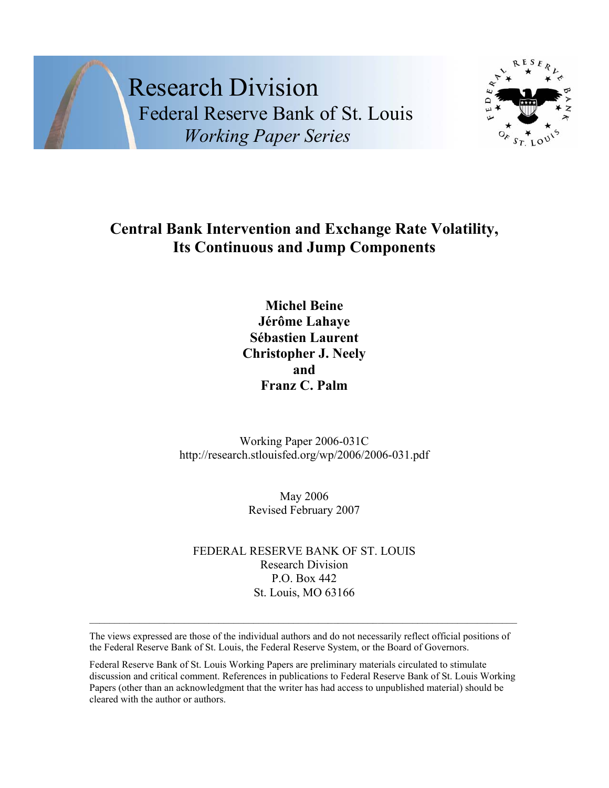Research Division Federal Reserve Bank of St. Louis  *Working Paper Series* 



## **Central Bank Intervention and Exchange Rate Volatility, Its Continuous and Jump Components**

**Michel Beine Jérôme Lahaye Sébastien Laurent Christopher J. Neely and Franz C. Palm**

Working Paper 2006-031C http://research.stlouisfed.org/wp/2006/2006-031.pdf

> May 2006 Revised February 2007

FEDERAL RESERVE BANK OF ST. LOUIS Research Division P.O. Box 442 St. Louis, MO 63166

The views expressed are those of the individual authors and do not necessarily reflect official positions of the Federal Reserve Bank of St. Louis, the Federal Reserve System, or the Board of Governors.

 $\mathcal{L}_\mathcal{L} = \{ \mathcal{L}_\mathcal{L} = \{ \mathcal{L}_\mathcal{L} = \{ \mathcal{L}_\mathcal{L} = \{ \mathcal{L}_\mathcal{L} = \{ \mathcal{L}_\mathcal{L} = \{ \mathcal{L}_\mathcal{L} = \{ \mathcal{L}_\mathcal{L} = \{ \mathcal{L}_\mathcal{L} = \{ \mathcal{L}_\mathcal{L} = \{ \mathcal{L}_\mathcal{L} = \{ \mathcal{L}_\mathcal{L} = \{ \mathcal{L}_\mathcal{L} = \{ \mathcal{L}_\mathcal{L} = \{ \mathcal{L}_\mathcal{$ 

Federal Reserve Bank of St. Louis Working Papers are preliminary materials circulated to stimulate discussion and critical comment. References in publications to Federal Reserve Bank of St. Louis Working Papers (other than an acknowledgment that the writer has had access to unpublished material) should be cleared with the author or authors.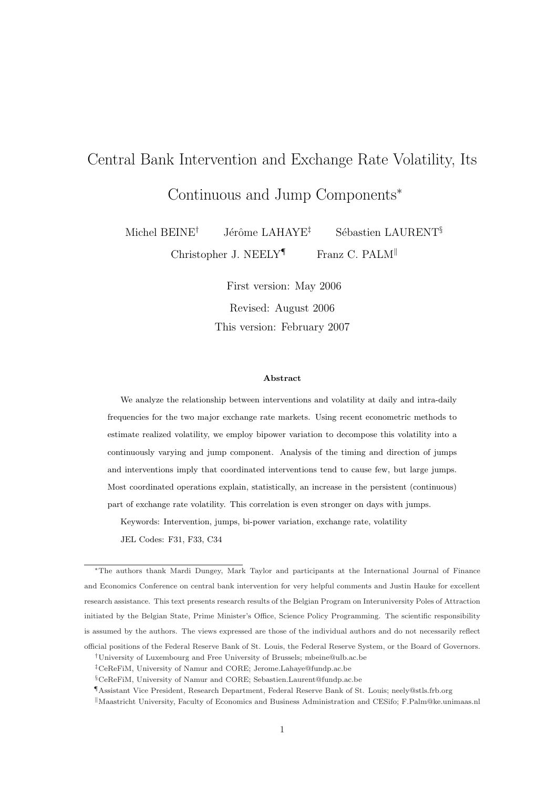# Central Bank Intervention and Exchange Rate Volatility, Its Continuous and Jump Components<sup>∗</sup>

Michel BEINE<sup>†</sup> Jérôme LAHAYE<sup>‡</sup> Sébastien LAURENT<sup>§</sup> Christopher J. NEELY $\P$  Franz C. PALM

> First version: May 2006 Revised: August 2006 This version: February 2007

#### Abstract

We analyze the relationship between interventions and volatility at daily and intra-daily frequencies for the two major exchange rate markets. Using recent econometric methods to estimate realized volatility, we employ bipower variation to decompose this volatility into a continuously varying and jump component. Analysis of the timing and direction of jumps and interventions imply that coordinated interventions tend to cause few, but large jumps. Most coordinated operations explain, statistically, an increase in the persistent (continuous) part of exchange rate volatility. This correlation is even stronger on days with jumps.

Keywords: Intervention, jumps, bi-power variation, exchange rate, volatility

JEL Codes: F31, F33, C34

‡CeReFiM, University of Namur and CORE; Jerome.Lahaye@fundp.ac.be

<sup>∗</sup>The authors thank Mardi Dungey, Mark Taylor and participants at the International Journal of Finance and Economics Conference on central bank intervention for very helpful comments and Justin Hauke for excellent research assistance. This text presents research results of the Belgian Program on Interuniversity Poles of Attraction initiated by the Belgian State, Prime Minister's Office, Science Policy Programming. The scientific responsibility is assumed by the authors. The views expressed are those of the individual authors and do not necessarily reflect

official positions of the Federal Reserve Bank of St. Louis, the Federal Reserve System, or the Board of Governors. †University of Luxembourg and Free University of Brussels; mbeine@ulb.ac.be

<sup>§</sup>CeReFiM, University of Namur and CORE; Sebastien.Laurent@fundp.ac.be

<sup>¶</sup>Assistant Vice President, Research Department, Federal Reserve Bank of St. Louis; neely@stls.frb.org

<sup>k</sup>Maastricht University, Faculty of Economics and Business Administration and CESifo; F.Palm@ke.unimaas.nl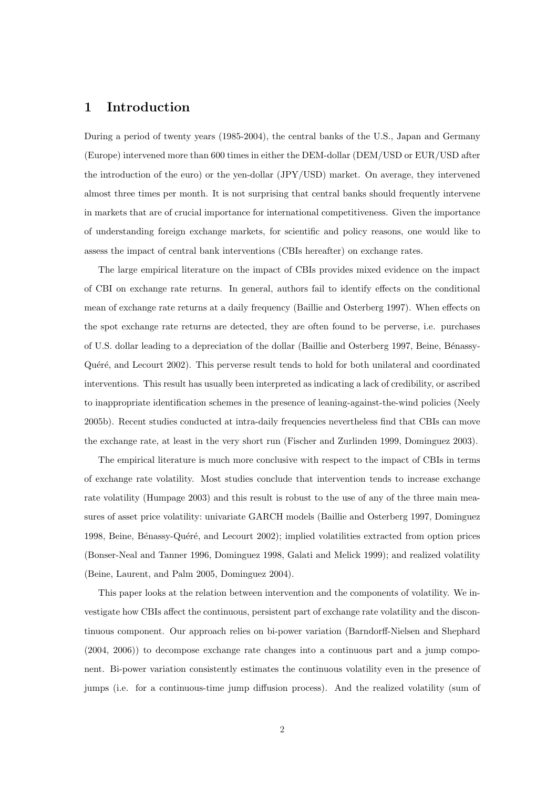## 1 Introduction

During a period of twenty years (1985-2004), the central banks of the U.S., Japan and Germany (Europe) intervened more than 600 times in either the DEM-dollar (DEM/USD or EUR/USD after the introduction of the euro) or the yen-dollar (JPY/USD) market. On average, they intervened almost three times per month. It is not surprising that central banks should frequently intervene in markets that are of crucial importance for international competitiveness. Given the importance of understanding foreign exchange markets, for scientific and policy reasons, one would like to assess the impact of central bank interventions (CBIs hereafter) on exchange rates.

The large empirical literature on the impact of CBIs provides mixed evidence on the impact of CBI on exchange rate returns. In general, authors fail to identify effects on the conditional mean of exchange rate returns at a daily frequency (Baillie and Osterberg 1997). When effects on the spot exchange rate returns are detected, they are often found to be perverse, i.e. purchases of U.S. dollar leading to a depreciation of the dollar (Baillie and Osterberg 1997, Beine, Bénassy-Quéré, and Lecourt 2002). This perverse result tends to hold for both unilateral and coordinated interventions. This result has usually been interpreted as indicating a lack of credibility, or ascribed to inappropriate identification schemes in the presence of leaning-against-the-wind policies (Neely 2005b). Recent studies conducted at intra-daily frequencies nevertheless find that CBIs can move the exchange rate, at least in the very short run (Fischer and Zurlinden 1999, Dominguez 2003).

The empirical literature is much more conclusive with respect to the impact of CBIs in terms of exchange rate volatility. Most studies conclude that intervention tends to increase exchange rate volatility (Humpage 2003) and this result is robust to the use of any of the three main measures of asset price volatility: univariate GARCH models (Baillie and Osterberg 1997, Dominguez 1998, Beine, Bénassy-Quéré, and Lecourt 2002); implied volatilities extracted from option prices (Bonser-Neal and Tanner 1996, Dominguez 1998, Galati and Melick 1999); and realized volatility (Beine, Laurent, and Palm 2005, Dominguez 2004).

This paper looks at the relation between intervention and the components of volatility. We investigate how CBIs affect the continuous, persistent part of exchange rate volatility and the discontinuous component. Our approach relies on bi-power variation (Barndorff-Nielsen and Shephard (2004, 2006)) to decompose exchange rate changes into a continuous part and a jump component. Bi-power variation consistently estimates the continuous volatility even in the presence of jumps (i.e. for a continuous-time jump diffusion process). And the realized volatility (sum of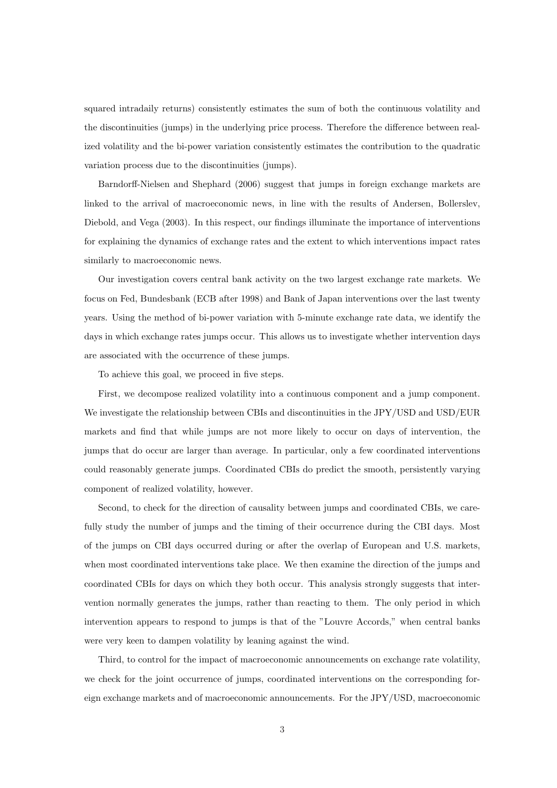squared intradaily returns) consistently estimates the sum of both the continuous volatility and the discontinuities (jumps) in the underlying price process. Therefore the difference between realized volatility and the bi-power variation consistently estimates the contribution to the quadratic variation process due to the discontinuities (jumps).

Barndorff-Nielsen and Shephard (2006) suggest that jumps in foreign exchange markets are linked to the arrival of macroeconomic news, in line with the results of Andersen, Bollerslev, Diebold, and Vega (2003). In this respect, our findings illuminate the importance of interventions for explaining the dynamics of exchange rates and the extent to which interventions impact rates similarly to macroeconomic news.

Our investigation covers central bank activity on the two largest exchange rate markets. We focus on Fed, Bundesbank (ECB after 1998) and Bank of Japan interventions over the last twenty years. Using the method of bi-power variation with 5-minute exchange rate data, we identify the days in which exchange rates jumps occur. This allows us to investigate whether intervention days are associated with the occurrence of these jumps.

To achieve this goal, we proceed in five steps.

First, we decompose realized volatility into a continuous component and a jump component. We investigate the relationship between CBIs and discontinuities in the JPY/USD and USD/EUR markets and find that while jumps are not more likely to occur on days of intervention, the jumps that do occur are larger than average. In particular, only a few coordinated interventions could reasonably generate jumps. Coordinated CBIs do predict the smooth, persistently varying component of realized volatility, however.

Second, to check for the direction of causality between jumps and coordinated CBIs, we carefully study the number of jumps and the timing of their occurrence during the CBI days. Most of the jumps on CBI days occurred during or after the overlap of European and U.S. markets, when most coordinated interventions take place. We then examine the direction of the jumps and coordinated CBIs for days on which they both occur. This analysis strongly suggests that intervention normally generates the jumps, rather than reacting to them. The only period in which intervention appears to respond to jumps is that of the "Louvre Accords," when central banks were very keen to dampen volatility by leaning against the wind.

Third, to control for the impact of macroeconomic announcements on exchange rate volatility, we check for the joint occurrence of jumps, coordinated interventions on the corresponding foreign exchange markets and of macroeconomic announcements. For the JPY/USD, macroeconomic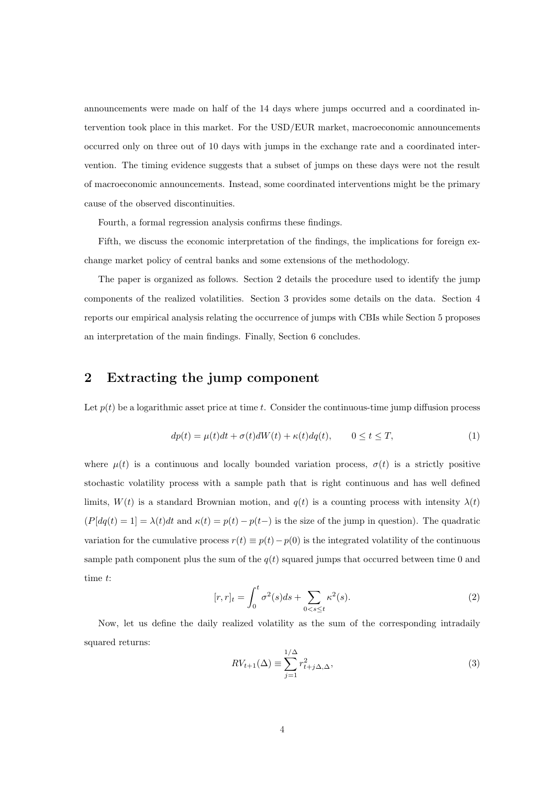announcements were made on half of the 14 days where jumps occurred and a coordinated intervention took place in this market. For the USD/EUR market, macroeconomic announcements occurred only on three out of 10 days with jumps in the exchange rate and a coordinated intervention. The timing evidence suggests that a subset of jumps on these days were not the result of macroeconomic announcements. Instead, some coordinated interventions might be the primary cause of the observed discontinuities.

Fourth, a formal regression analysis confirms these findings.

Fifth, we discuss the economic interpretation of the findings, the implications for foreign exchange market policy of central banks and some extensions of the methodology.

The paper is organized as follows. Section 2 details the procedure used to identify the jump components of the realized volatilities. Section 3 provides some details on the data. Section 4 reports our empirical analysis relating the occurrence of jumps with CBIs while Section 5 proposes an interpretation of the main findings. Finally, Section 6 concludes.

## 2 Extracting the jump component

Let  $p(t)$  be a logarithmic asset price at time t. Consider the continuous-time jump diffusion process

$$
dp(t) = \mu(t)dt + \sigma(t)dW(t) + \kappa(t)dq(t), \qquad 0 \le t \le T,
$$
\n(1)

where  $\mu(t)$  is a continuous and locally bounded variation process,  $\sigma(t)$  is a strictly positive stochastic volatility process with a sample path that is right continuous and has well defined limits,  $W(t)$  is a standard Brownian motion, and  $q(t)$  is a counting process with intensity  $\lambda(t)$  $(P[dq(t) = 1] = \lambda(t)dt$  and  $\kappa(t) = p(t) - p(t-)$  is the size of the jump in question). The quadratic variation for the cumulative process  $r(t) \equiv p(t) - p(0)$  is the integrated volatility of the continuous sample path component plus the sum of the  $q(t)$  squared jumps that occurred between time 0 and time t:

$$
[r,r]_t = \int_0^t \sigma^2(s)ds + \sum_{0 < s \le t} \kappa^2(s). \tag{2}
$$

Now, let us define the daily realized volatility as the sum of the corresponding intradaily squared returns:

$$
RV_{t+1}(\Delta) \equiv \sum_{j=1}^{1/\Delta} r_{t+j\Delta,\Delta}^2,
$$
\n(3)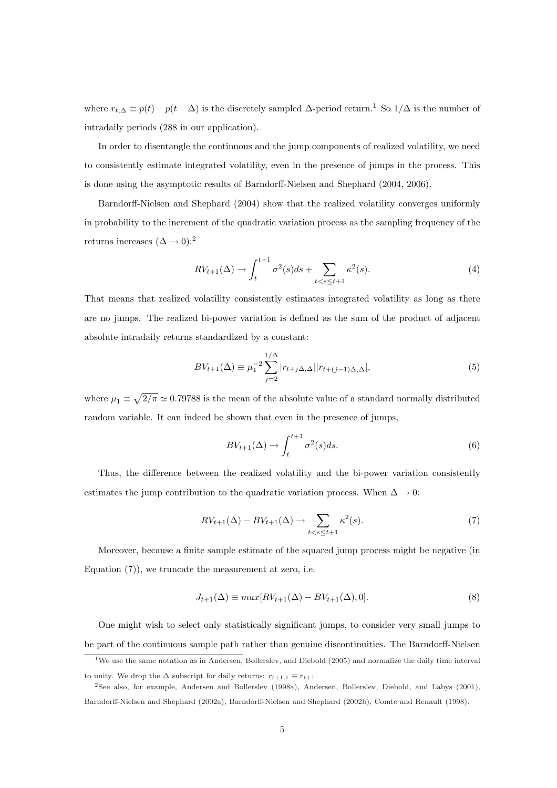where  $r_{t,\Delta} \equiv p(t) - p(t - \Delta)$  is the discretely sampled  $\Delta$ -period return.<sup>1</sup> So 1/ $\Delta$  is the number of intradaily periods (288 in our application).

In order to disentangle the continuous and the jump components of realized volatility, we need to consistently estimate integrated volatility, even in the presence of jumps in the process. This is done using the asymptotic results of Barndorff-Nielsen and Shephard (2004, 2006).

Barndorff-Nielsen and Shephard (2004) show that the realized volatility converges uniformly in probability to the increment of the quadratic variation process as the sampling frequency of the returns increases  $(\Delta \rightarrow 0)$ :<sup>2</sup>

$$
RV_{t+1}(\Delta) \to \int_{t}^{t+1} \sigma^2(s)ds + \sum_{t < s \le t+1} \kappa^2(s). \tag{4}
$$

That means that realized volatility consistently estimates integrated volatility as long as there are no jumps. The realized bi-power variation is defined as the sum of the product of adjacent absolute intradaily returns standardized by a constant:

$$
BV_{t+1}(\Delta) \equiv \mu_1^{-2} \sum_{j=2}^{1/\Delta} |r_{t+j\Delta,\Delta}| |r_{t+(j-1)\Delta,\Delta}|,\tag{5}
$$

where  $\mu_1 \equiv$ p  $2/\pi \simeq 0.79788$  is the mean of the absolute value of a standard normally distributed random variable. It can indeed be shown that even in the presence of jumps,

$$
BV_{t+1}(\Delta) \to \int_{t}^{t+1} \sigma^2(s)ds.
$$
 (6)

Thus, the difference between the realized volatility and the bi-power variation consistently estimates the jump contribution to the quadratic variation process. When  $\Delta \to 0$ :

$$
RV_{t+1}(\Delta) - BV_{t+1}(\Delta) \to \sum_{t < s \le t+1} \kappa^2(s). \tag{7}
$$

Moreover, because a finite sample estimate of the squared jump process might be negative (in Equation (7)), we truncate the measurement at zero, i.e.

$$
J_{t+1}(\Delta) \equiv max[RV_{t+1}(\Delta) - BV_{t+1}(\Delta), 0].\tag{8}
$$

One might wish to select only statistically significant jumps, to consider very small jumps to be part of the continuous sample path rather than genuine discontinuities. The Barndorff-Nielsen

<sup>&</sup>lt;sup>1</sup>We use the same notation as in Andersen, Bollerslev, and Diebold (2005) and normalize the daily time interval to unity. We drop the  $\Delta$  subscript for daily returns:  $r_{t+1,1} \equiv r_{t+1}$ .

<sup>2</sup>See also, for example, Andersen and Bollerslev (1998a), Andersen, Bollerslev, Diebold, and Labys (2001), Barndorff-Nielsen and Shephard (2002a), Barndorff-Nielsen and Shephard (2002b), Comte and Renault (1998).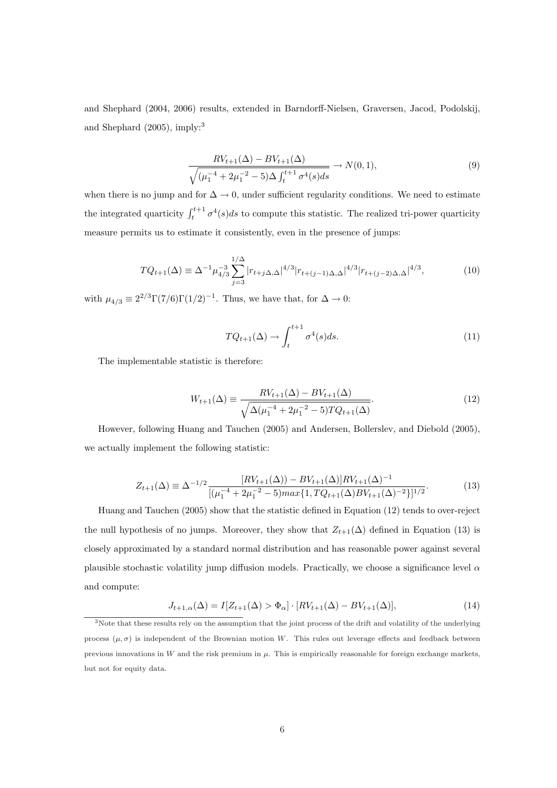and Shephard (2004, 2006) results, extended in Barndorff-Nielsen, Graversen, Jacod, Podolskij, and Shephard (2005), imply:<sup>3</sup>

$$
\frac{RV_{t+1}(\Delta) - BV_{t+1}(\Delta)}{\sqrt{(\mu_1^{-4} + 2\mu_1^{-2} - 5)\Delta \int_t^{t+1} \sigma^4(s)ds}} \to N(0, 1),\tag{9}
$$

when there is no jump and for  $\Delta \to 0$ , under sufficient regularity conditions. We need to estimate the integrated quarticity  $\int_{t}^{t+1} \sigma^{4}(s)ds$  to compute this statistic. The realized tri-power quarticity measure permits us to estimate it consistently, even in the presence of jumps:

$$
TQ_{t+1}(\Delta) \equiv \Delta^{-1} \mu_{4/3}^{-3} \sum_{j=3}^{1/\Delta} |r_{t+j\Delta,\Delta}|^{4/3} |r_{t+(j-1)\Delta,\Delta}|^{4/3} |r_{t+(j-2)\Delta,\Delta}|^{4/3},\tag{10}
$$

with  $\mu_{4/3} \equiv 2^{2/3} \Gamma(7/6) \Gamma(1/2)^{-1}$ . Thus, we have that, for  $\Delta \to 0$ :

$$
TQ_{t+1}(\Delta) \to \int_{t}^{t+1} \sigma^{4}(s)ds.
$$
 (11)

The implementable statistic is therefore:

$$
W_{t+1}(\Delta) \equiv \frac{RV_{t+1}(\Delta) - BV_{t+1}(\Delta)}{\sqrt{\Delta(\mu_1^{-4} + 2\mu_1^{-2} - 5)TQ_{t+1}(\Delta)}}.
$$
\n(12)

However, following Huang and Tauchen (2005) and Andersen, Bollerslev, and Diebold (2005), we actually implement the following statistic:

$$
Z_{t+1}(\Delta) \equiv \Delta^{-1/2} \frac{[RV_{t+1}(\Delta)) - BV_{t+1}(\Delta)]RV_{t+1}(\Delta)^{-1}}{[(\mu_1^{-4} + 2\mu_1^{-2} - 5)max\{1, TQ_{t+1}(\Delta)BV_{t+1}(\Delta)^{-2}\}]^{1/2}}.
$$
(13)

Huang and Tauchen (2005) show that the statistic defined in Equation (12) tends to over-reject the null hypothesis of no jumps. Moreover, they show that  $Z_{t+1}(\Delta)$  defined in Equation (13) is closely approximated by a standard normal distribution and has reasonable power against several plausible stochastic volatility jump diffusion models. Practically, we choose a significance level  $\alpha$ and compute:

$$
J_{t+1,\alpha}(\Delta) = I[Z_{t+1}(\Delta) > \Phi_{\alpha}] \cdot [RV_{t+1}(\Delta) - BV_{t+1}(\Delta)], \qquad (14)
$$

<sup>&</sup>lt;sup>3</sup>Note that these results rely on the assumption that the joint process of the drift and volatility of the underlying process  $(\mu, \sigma)$  is independent of the Brownian motion W. This rules out leverage effects and feedback between previous innovations in W and the risk premium in  $\mu$ . This is empirically reasonable for foreign exchange markets, but not for equity data.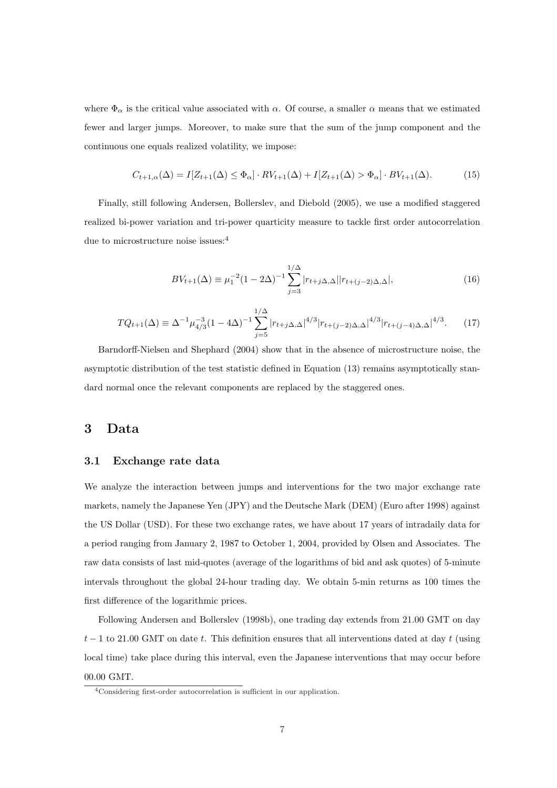where  $\Phi_{\alpha}$  is the critical value associated with  $\alpha$ . Of course, a smaller  $\alpha$  means that we estimated fewer and larger jumps. Moreover, to make sure that the sum of the jump component and the continuous one equals realized volatility, we impose:

$$
C_{t+1,\alpha}(\Delta) = I[Z_{t+1}(\Delta) \le \Phi_{\alpha}] \cdot RV_{t+1}(\Delta) + I[Z_{t+1}(\Delta) > \Phi_{\alpha}] \cdot BV_{t+1}(\Delta). \tag{15}
$$

Finally, still following Andersen, Bollerslev, and Diebold (2005), we use a modified staggered realized bi-power variation and tri-power quarticity measure to tackle first order autocorrelation due to microstructure noise issues:<sup>4</sup>

$$
BV_{t+1}(\Delta) \equiv \mu_1^{-2} (1 - 2\Delta)^{-1} \sum_{j=3}^{1/\Delta} |r_{t+j\Delta,\Delta}| |r_{t+(j-2)\Delta,\Delta}|,\tag{16}
$$

$$
TQ_{t+1}(\Delta) \equiv \Delta^{-1} \mu_{4/3}^{-3} (1 - 4\Delta)^{-1} \sum_{j=5}^{1/\Delta} |r_{t+j\Delta,\Delta}|^{4/3} |r_{t+(j-2)\Delta,\Delta}|^{4/3} |r_{t+(j-4)\Delta,\Delta}|^{4/3}.
$$
 (17)

Barndorff-Nielsen and Shephard (2004) show that in the absence of microstructure noise, the asymptotic distribution of the test statistic defined in Equation (13) remains asymptotically standard normal once the relevant components are replaced by the staggered ones.

## 3 Data

#### 3.1 Exchange rate data

We analyze the interaction between jumps and interventions for the two major exchange rate markets, namely the Japanese Yen (JPY) and the Deutsche Mark (DEM) (Euro after 1998) against the US Dollar (USD). For these two exchange rates, we have about 17 years of intradaily data for a period ranging from January 2, 1987 to October 1, 2004, provided by Olsen and Associates. The raw data consists of last mid-quotes (average of the logarithms of bid and ask quotes) of 5-minute intervals throughout the global 24-hour trading day. We obtain 5-min returns as 100 times the first difference of the logarithmic prices.

Following Andersen and Bollerslev (1998b), one trading day extends from 21.00 GMT on day  $t-1$  to 21.00 GMT on date t. This definition ensures that all interventions dated at day t (using local time) take place during this interval, even the Japanese interventions that may occur before 00.00 GMT.

<sup>4</sup>Considering first-order autocorrelation is sufficient in our application.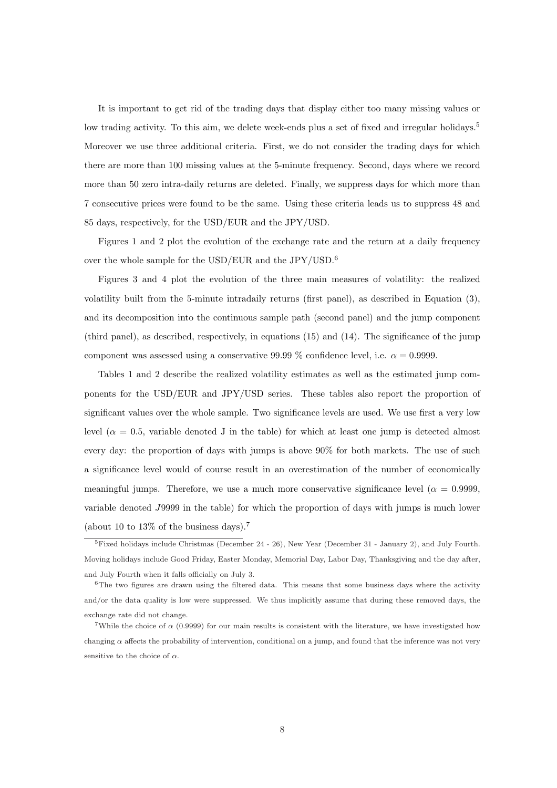It is important to get rid of the trading days that display either too many missing values or low trading activity. To this aim, we delete week-ends plus a set of fixed and irregular holidays.<sup>5</sup> Moreover we use three additional criteria. First, we do not consider the trading days for which there are more than 100 missing values at the 5-minute frequency. Second, days where we record more than 50 zero intra-daily returns are deleted. Finally, we suppress days for which more than 7 consecutive prices were found to be the same. Using these criteria leads us to suppress 48 and 85 days, respectively, for the USD/EUR and the JPY/USD.

Figures 1 and 2 plot the evolution of the exchange rate and the return at a daily frequency over the whole sample for the USD/EUR and the JPY/USD.<sup>6</sup>

Figures 3 and 4 plot the evolution of the three main measures of volatility: the realized volatility built from the 5-minute intradaily returns (first panel), as described in Equation (3), and its decomposition into the continuous sample path (second panel) and the jump component (third panel), as described, respectively, in equations (15) and (14). The significance of the jump component was assessed using a conservative 99.99 % confidence level, i.e.  $\alpha = 0.9999$ .

Tables 1 and 2 describe the realized volatility estimates as well as the estimated jump components for the USD/EUR and JPY/USD series. These tables also report the proportion of significant values over the whole sample. Two significance levels are used. We use first a very low level ( $\alpha = 0.5$ , variable denoted J in the table) for which at least one jump is detected almost every day: the proportion of days with jumps is above 90% for both markets. The use of such a significance level would of course result in an overestimation of the number of economically meaningful jumps. Therefore, we use a much more conservative significance level ( $\alpha = 0.9999$ , variable denoted J9999 in the table) for which the proportion of days with jumps is much lower (about 10 to 13% of the business days).<sup>7</sup>

 $5$ Fixed holidays include Christmas (December 24 - 26), New Year (December 31 - January 2), and July Fourth. Moving holidays include Good Friday, Easter Monday, Memorial Day, Labor Day, Thanksgiving and the day after, and July Fourth when it falls officially on July 3.

 $6$ The two figures are drawn using the filtered data. This means that some business days where the activity and/or the data quality is low were suppressed. We thus implicitly assume that during these removed days, the exchange rate did not change.

<sup>&</sup>lt;sup>7</sup>While the choice of  $\alpha$  (0.9999) for our main results is consistent with the literature, we have investigated how changing  $\alpha$  affects the probability of intervention, conditional on a jump, and found that the inference was not very sensitive to the choice of  $\alpha$ .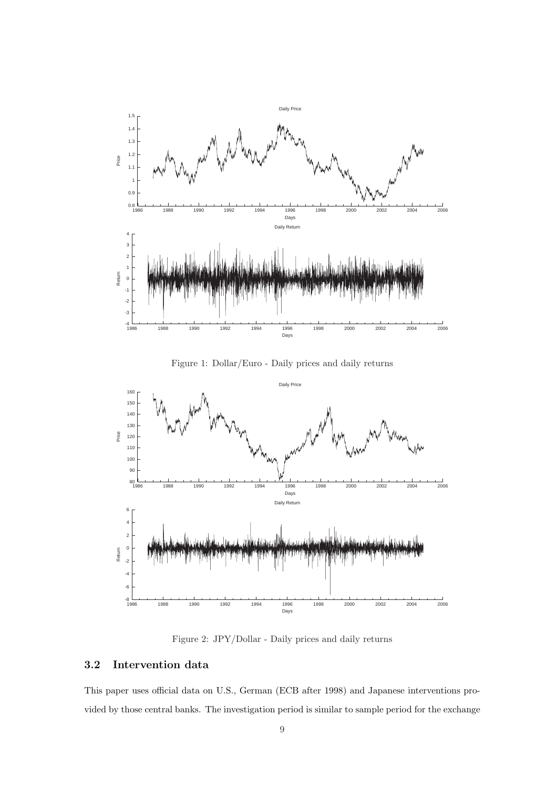

Figure 1: Dollar/Euro - Daily prices and daily returns



Figure 2: JPY/Dollar - Daily prices and daily returns

### 3.2 Intervention data

This paper uses official data on U.S., German (ECB after 1998) and Japanese interventions provided by those central banks. The investigation period is similar to sample period for the exchange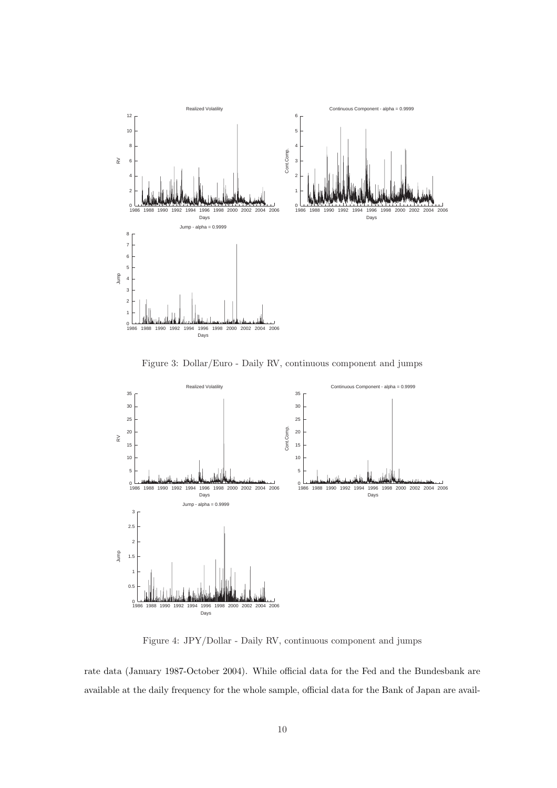

Figure 3: Dollar/Euro - Daily RV, continuous component and jumps



Figure 4: JPY/Dollar - Daily RV, continuous component and jumps

rate data (January 1987-October 2004). While official data for the Fed and the Bundesbank are available at the daily frequency for the whole sample, official data for the Bank of Japan are avail-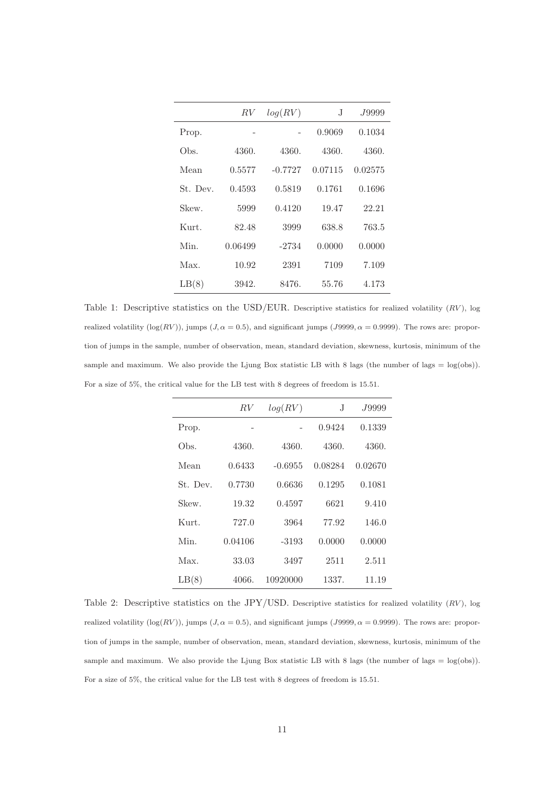|          | RV      | log(RV)   | J.      | J9999   |
|----------|---------|-----------|---------|---------|
| Prop.    |         |           | 0.9069  | 0.1034  |
| Obs.     | 4360.   | 4360.     | 4360.   | 4360.   |
| Mean     | 0.5577  | $-0.7727$ | 0.07115 | 0.02575 |
| St. Dev. | 0.4593  | 0.5819    | 0.1761  | 0.1696  |
| Skew.    | 5999    | 0.4120    | 19.47   | 22.21   |
| Kurt.    | 82.48   | 3999      | 638.8   | 763.5   |
| Min.     | 0.06499 | -2734     | 0.0000  | 0.0000  |
| Max.     | 10.92   | 2391      | 7109    | 7.109   |
| LB(8)    | 3942.   | 8476.     | 55.76   | 4.173   |

Table 1: Descriptive statistics on the USD/EUR. Descriptive statistics for realized volatility  $(RV)$ , log realized volatility  $(\log(RV))$ , jumps  $(J, \alpha = 0.5)$ , and significant jumps  $(J9999, \alpha = 0.9999)$ . The rows are: proportion of jumps in the sample, number of observation, mean, standard deviation, skewness, kurtosis, minimum of the sample and maximum. We also provide the Ljung Box statistic LB with 8 lags (the number of lags = log(obs)). For a size of 5%, the critical value for the LB test with 8 degrees of freedom is 15.51.

|          | RV      | log(RV)   | J.      | J9999   |
|----------|---------|-----------|---------|---------|
| Prop.    |         |           | 0.9424  | 0.1339  |
| Obs.     | 4360.   | 4360.     | 4360.   | 4360.   |
| Mean     | 0.6433  | $-0.6955$ | 0.08284 | 0.02670 |
| St. Dev. | 0.7730  | 0.6636    | 0.1295  | 0.1081  |
| Skew.    | 19.32   | 0.4597    | 6621    | 9.410   |
| Kurt.    | 727.0   | 3964      | 77.92   | 146.0   |
| Min.     | 0.04106 | $-3193$   | 0.0000  | 0.0000  |
| Max.     | 33.03   | 3497      | 2511    | 2.511   |
| LB(8)    | 4066.   | 10920000  | 1337.   | 11.19   |

Table 2: Descriptive statistics on the JPY/USD. Descriptive statistics for realized volatility  $(RV)$ , log realized volatility  $(\log(RV))$ , jumps  $(J, \alpha = 0.5)$ , and significant jumps  $(J9999, \alpha = 0.9999)$ . The rows are: proportion of jumps in the sample, number of observation, mean, standard deviation, skewness, kurtosis, minimum of the sample and maximum. We also provide the Ljung Box statistic LB with 8 lags (the number of lags = log(obs)). For a size of 5%, the critical value for the LB test with 8 degrees of freedom is 15.51.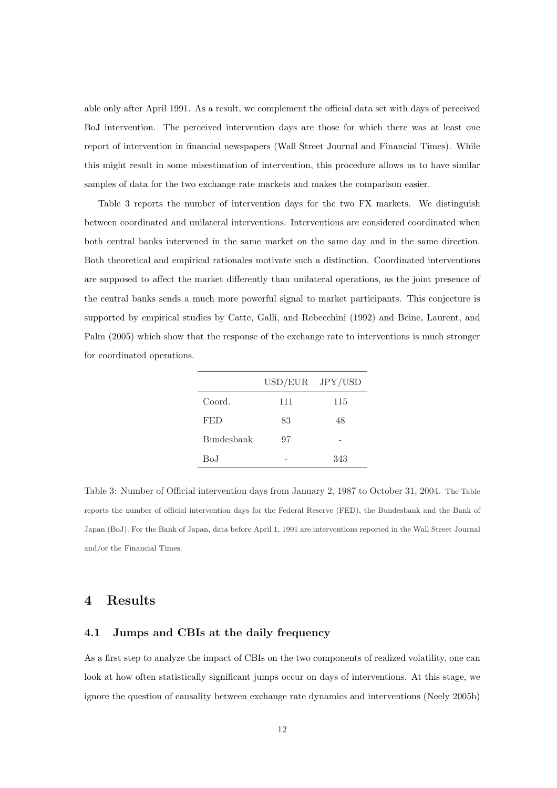able only after April 1991. As a result, we complement the official data set with days of perceived BoJ intervention. The perceived intervention days are those for which there was at least one report of intervention in financial newspapers (Wall Street Journal and Financial Times). While this might result in some misestimation of intervention, this procedure allows us to have similar samples of data for the two exchange rate markets and makes the comparison easier.

Table 3 reports the number of intervention days for the two FX markets. We distinguish between coordinated and unilateral interventions. Interventions are considered coordinated when both central banks intervened in the same market on the same day and in the same direction. Both theoretical and empirical rationales motivate such a distinction. Coordinated interventions are supposed to affect the market differently than unilateral operations, as the joint presence of the central banks sends a much more powerful signal to market participants. This conjecture is supported by empirical studies by Catte, Galli, and Rebecchini (1992) and Beine, Laurent, and Palm (2005) which show that the response of the exchange rate to interventions is much stronger for coordinated operations.

|            | $USD/EUR$ JPY/USD |     |
|------------|-------------------|-----|
| Coord.     | 111               | 115 |
| <b>FED</b> | 83                | 48  |
| Bundesbank | 97                |     |
| BoJ        |                   | 343 |

Table 3: Number of Official intervention days from January 2, 1987 to October 31, 2004. The Table reports the number of official intervention days for the Federal Reserve (FED), the Bundesbank and the Bank of Japan (BoJ). For the Bank of Japan, data before April 1, 1991 are interventions reported in the Wall Street Journal and/or the Financial Times.

## 4 Results

#### 4.1 Jumps and CBIs at the daily frequency

As a first step to analyze the impact of CBIs on the two components of realized volatility, one can look at how often statistically significant jumps occur on days of interventions. At this stage, we ignore the question of causality between exchange rate dynamics and interventions (Neely 2005b)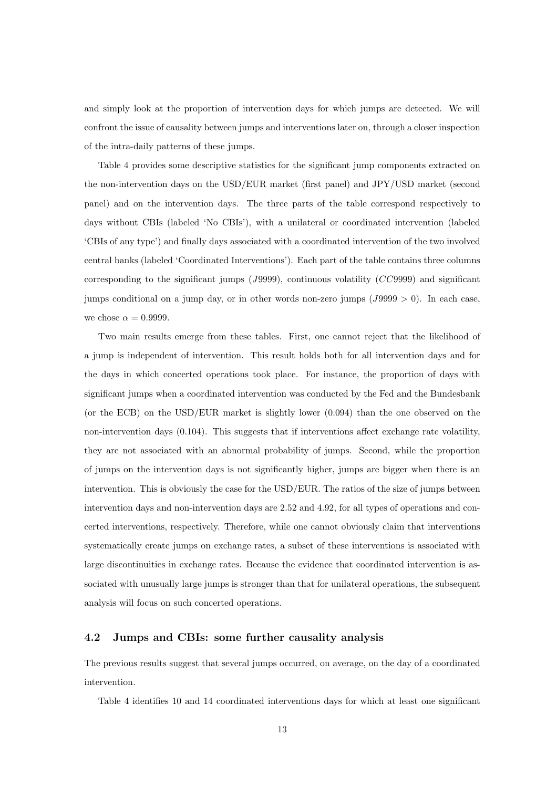and simply look at the proportion of intervention days for which jumps are detected. We will confront the issue of causality between jumps and interventions later on, through a closer inspection of the intra-daily patterns of these jumps.

Table 4 provides some descriptive statistics for the significant jump components extracted on the non-intervention days on the USD/EUR market (first panel) and JPY/USD market (second panel) and on the intervention days. The three parts of the table correspond respectively to days without CBIs (labeled 'No CBIs'), with a unilateral or coordinated intervention (labeled 'CBIs of any type') and finally days associated with a coordinated intervention of the two involved central banks (labeled 'Coordinated Interventions'). Each part of the table contains three columns corresponding to the significant jumps  $(J9999)$ , continuous volatility  $(CC9999)$  and significant jumps conditional on a jump day, or in other words non-zero jumps  $(J9999 > 0)$ . In each case, we chose  $\alpha = 0.9999$ .

Two main results emerge from these tables. First, one cannot reject that the likelihood of a jump is independent of intervention. This result holds both for all intervention days and for the days in which concerted operations took place. For instance, the proportion of days with significant jumps when a coordinated intervention was conducted by the Fed and the Bundesbank (or the ECB) on the USD/EUR market is slightly lower (0.094) than the one observed on the non-intervention days (0.104). This suggests that if interventions affect exchange rate volatility, they are not associated with an abnormal probability of jumps. Second, while the proportion of jumps on the intervention days is not significantly higher, jumps are bigger when there is an intervention. This is obviously the case for the USD/EUR. The ratios of the size of jumps between intervention days and non-intervention days are 2.52 and 4.92, for all types of operations and concerted interventions, respectively. Therefore, while one cannot obviously claim that interventions systematically create jumps on exchange rates, a subset of these interventions is associated with large discontinuities in exchange rates. Because the evidence that coordinated intervention is associated with unusually large jumps is stronger than that for unilateral operations, the subsequent analysis will focus on such concerted operations.

#### 4.2 Jumps and CBIs: some further causality analysis

The previous results suggest that several jumps occurred, on average, on the day of a coordinated intervention.

Table 4 identifies 10 and 14 coordinated interventions days for which at least one significant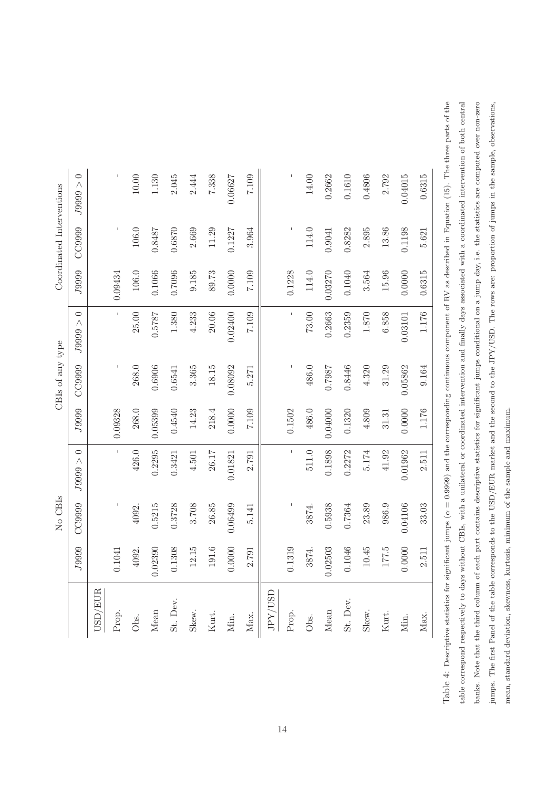|          |           | No CBIs     |             |         | CBIs of any type |                      |              | Coordinated Interventions |                    |
|----------|-----------|-------------|-------------|---------|------------------|----------------------|--------------|---------------------------|--------------------|
|          | J9999     | CC9999      | J9999 > 0   | J9999   | CC9999           | $\circ$<br>$J9999$ > | <b>J9999</b> | CC9999                    | $\circ$<br>J9999 > |
| USD/EUR  |           |             |             |         |                  |                      |              |                           |                    |
| Prop.    | 0.1041    | $\mathsf I$ | $\mathsf I$ | 0.09328 |                  | $\mathsf I$          | 0.09434      |                           |                    |
| Obs.     | 4092.     | 4092.       | 426.0       | 268.0   | 268.0            | 25.00                | 106.0        | 106.0                     | $10.00$            |
| Mean     | 0.02390   | 0.5215      | 0.2295      | 0.05399 | 0.6906           | 0.5787               | 0.1066       | 0.8487                    | 1.130              |
| St. Dev. | 0.1308    | 0.3728      | 0.3421      | 0.4540  | 0.6541           | 1.380                | 0.7096       | 0.6870                    | 2.045              |
| Skew.    | 12.15     | 3.708       | 4.501       | 14.23   | 3.365            | 4.233                | 9.185        | 2.669                     | 2.444              |
| Kurt.    | $191.6\,$ | 26.85       | 26.17       | 218.4   | 18.15            | 20.06                | 89.73        | 11.29                     | 7.338              |
| Min.     | 0.0000    | 0.06499     | 0.01821     | 0.0000  | 0.08092          | 0.02400              | 0.0000       | 0.1227                    | 0.06627            |
| Max.     | 2.791     | 5.141       | 2.791       | 7.109   | 5.271            | 7.109                | 7.109        | 3.964                     | 7.109              |
| JPY/USD  |           |             |             |         |                  |                      |              |                           |                    |
| Prop.    | 0.1319    | $\mathbf I$ | I           | 0.1502  | J.               | f,                   | 0.1228       | $\mathsf I$               |                    |
| Obs.     | 3874.     | 3874.       | 511.0       | 486.0   | 486.0            | 73.00                | 114.0        | 114.0                     | 14.00              |
| Mean     | 0.02503   | 0.5938      | 0.1898      | 0.04000 | 7887.0           | 0.2663               | 0.03270      | 0.9041                    | 0.2662             |
| St. Dev. | 0.1046    | 0.7364      | 0.2272      | 0.1320  | 0.8446           | 0.2359               | 0.1040       | 0.8282                    | 0.1610             |
| Skew.    | $10.45\,$ | 23.89       | 5.174       | 4.809   | 4.320            | 1.870                | 3.564        | 2.895                     | 0.4806             |
| Kurt.    | 177.5     | 986.9       | 41.92       | 31.31   | 31.29            | 6.858                | 15.96        | 13.86                     | 2.792              |
| Nin.     | 0.0000    | 0.04106     | 0.01962     | 0.0000  | 0.05862          | 0.03101              | 0.0000       | 0.1198                    | 0.04015            |
| Max.     | 2.511     | 33.03       | 2.511       | 1.176   | 9.164            | 1.176                | 0.6315       | 5.621                     | 0.6315             |
|          |           |             |             |         |                  |                      |              |                           |                    |

Table 4: Descriptive statistics for significant jumps  $(\alpha = 0.9999)$  and the corresponding continuous component of RV as described in Equation (15). The three parts of the table correspond respectively to days without CBIs, with a unilateral or coordinated intervention and finally days associated with a coordinated intervention of both central banks. Note that the third column of each part contains descriptive statistics for significant jumps conditional on a jump day, i.e. the statistics are computed over non-zero jumps. The first Panel of the table corresponds to the USD/EUR market and the second to the JPY/USD. The rows are: proportion of jumps in the sample, observations,  $\alpha = 0.9999$ ) and the corresponding continuous component of RV as described in Equation (15). The three parts of the table correspond respectively to days without CBIs, with a unilateral or coordinated intervention and finally days associated with a coordinated intervention of both central banks. Note that the third column of each part contains descriptive statistics for significant jumps conditional on a jump day, i.e. the statistics are computed over non-zero jumps. The first Panel of the table corresponds to the USD/EUR market and the second to the JPY/USD. The rows are: proportion of jumps in the sample, observations, mean, standard deviation, skewness, kurtosis, minimum of the sample and maximum. mean, standard deviation, skewness, kurtosis, minimum of the sample and maximum. Table 4: Descriptive statistics for significant jumps (c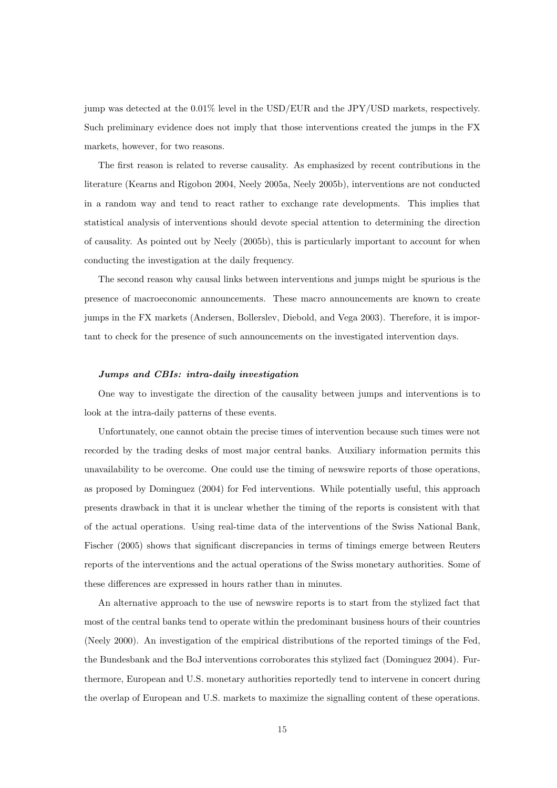jump was detected at the 0.01% level in the USD/EUR and the JPY/USD markets, respectively. Such preliminary evidence does not imply that those interventions created the jumps in the FX markets, however, for two reasons.

The first reason is related to reverse causality. As emphasized by recent contributions in the literature (Kearns and Rigobon 2004, Neely 2005a, Neely 2005b), interventions are not conducted in a random way and tend to react rather to exchange rate developments. This implies that statistical analysis of interventions should devote special attention to determining the direction of causality. As pointed out by Neely (2005b), this is particularly important to account for when conducting the investigation at the daily frequency.

The second reason why causal links between interventions and jumps might be spurious is the presence of macroeconomic announcements. These macro announcements are known to create jumps in the FX markets (Andersen, Bollerslev, Diebold, and Vega 2003). Therefore, it is important to check for the presence of such announcements on the investigated intervention days.

#### Jumps and CBIs: intra-daily investigation

One way to investigate the direction of the causality between jumps and interventions is to look at the intra-daily patterns of these events.

Unfortunately, one cannot obtain the precise times of intervention because such times were not recorded by the trading desks of most major central banks. Auxiliary information permits this unavailability to be overcome. One could use the timing of newswire reports of those operations, as proposed by Dominguez (2004) for Fed interventions. While potentially useful, this approach presents drawback in that it is unclear whether the timing of the reports is consistent with that of the actual operations. Using real-time data of the interventions of the Swiss National Bank, Fischer (2005) shows that significant discrepancies in terms of timings emerge between Reuters reports of the interventions and the actual operations of the Swiss monetary authorities. Some of these differences are expressed in hours rather than in minutes.

An alternative approach to the use of newswire reports is to start from the stylized fact that most of the central banks tend to operate within the predominant business hours of their countries (Neely 2000). An investigation of the empirical distributions of the reported timings of the Fed, the Bundesbank and the BoJ interventions corroborates this stylized fact (Dominguez 2004). Furthermore, European and U.S. monetary authorities reportedly tend to intervene in concert during the overlap of European and U.S. markets to maximize the signalling content of these operations.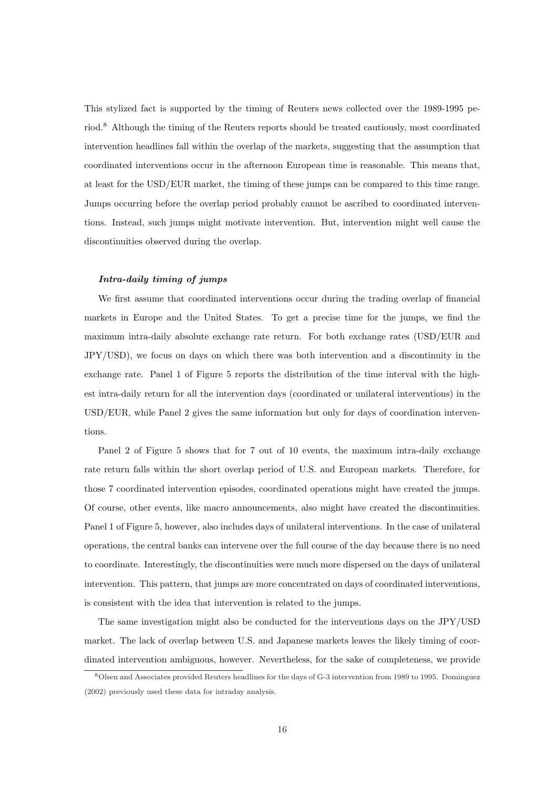This stylized fact is supported by the timing of Reuters news collected over the 1989-1995 period.<sup>8</sup> Although the timing of the Reuters reports should be treated cautiously, most coordinated intervention headlines fall within the overlap of the markets, suggesting that the assumption that coordinated interventions occur in the afternoon European time is reasonable. This means that, at least for the USD/EUR market, the timing of these jumps can be compared to this time range. Jumps occurring before the overlap period probably cannot be ascribed to coordinated interventions. Instead, such jumps might motivate intervention. But, intervention might well cause the discontinuities observed during the overlap.

#### Intra-daily timing of jumps

We first assume that coordinated interventions occur during the trading overlap of financial markets in Europe and the United States. To get a precise time for the jumps, we find the maximum intra-daily absolute exchange rate return. For both exchange rates (USD/EUR and JPY/USD), we focus on days on which there was both intervention and a discontinuity in the exchange rate. Panel 1 of Figure 5 reports the distribution of the time interval with the highest intra-daily return for all the intervention days (coordinated or unilateral interventions) in the USD/EUR, while Panel 2 gives the same information but only for days of coordination interventions.

Panel 2 of Figure 5 shows that for 7 out of 10 events, the maximum intra-daily exchange rate return falls within the short overlap period of U.S. and European markets. Therefore, for those 7 coordinated intervention episodes, coordinated operations might have created the jumps. Of course, other events, like macro announcements, also might have created the discontinuities. Panel 1 of Figure 5, however, also includes days of unilateral interventions. In the case of unilateral operations, the central banks can intervene over the full course of the day because there is no need to coordinate. Interestingly, the discontinuities were much more dispersed on the days of unilateral intervention. This pattern, that jumps are more concentrated on days of coordinated interventions, is consistent with the idea that intervention is related to the jumps.

The same investigation might also be conducted for the interventions days on the JPY/USD market. The lack of overlap between U.S. and Japanese markets leaves the likely timing of coordinated intervention ambiguous, however. Nevertheless, for the sake of completeness, we provide

<sup>8</sup>Olsen and Associates provided Reuters headlines for the days of G-3 intervention from 1989 to 1995. Dominguez (2002) previously used these data for intraday analysis.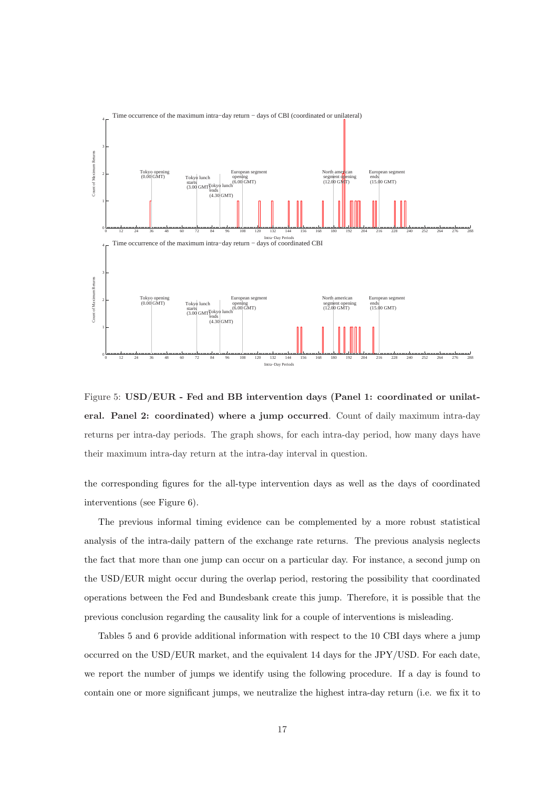

Figure 5: USD/EUR - Fed and BB intervention days (Panel 1: coordinated or unilateral. Panel 2: coordinated) where a jump occurred. Count of daily maximum intra-day returns per intra-day periods. The graph shows, for each intra-day period, how many days have their maximum intra-day return at the intra-day interval in question.

the corresponding figures for the all-type intervention days as well as the days of coordinated interventions (see Figure 6).

The previous informal timing evidence can be complemented by a more robust statistical analysis of the intra-daily pattern of the exchange rate returns. The previous analysis neglects the fact that more than one jump can occur on a particular day. For instance, a second jump on the USD/EUR might occur during the overlap period, restoring the possibility that coordinated operations between the Fed and Bundesbank create this jump. Therefore, it is possible that the previous conclusion regarding the causality link for a couple of interventions is misleading.

Tables 5 and 6 provide additional information with respect to the 10 CBI days where a jump occurred on the USD/EUR market, and the equivalent 14 days for the JPY/USD. For each date, we report the number of jumps we identify using the following procedure. If a day is found to contain one or more significant jumps, we neutralize the highest intra-day return (i.e. we fix it to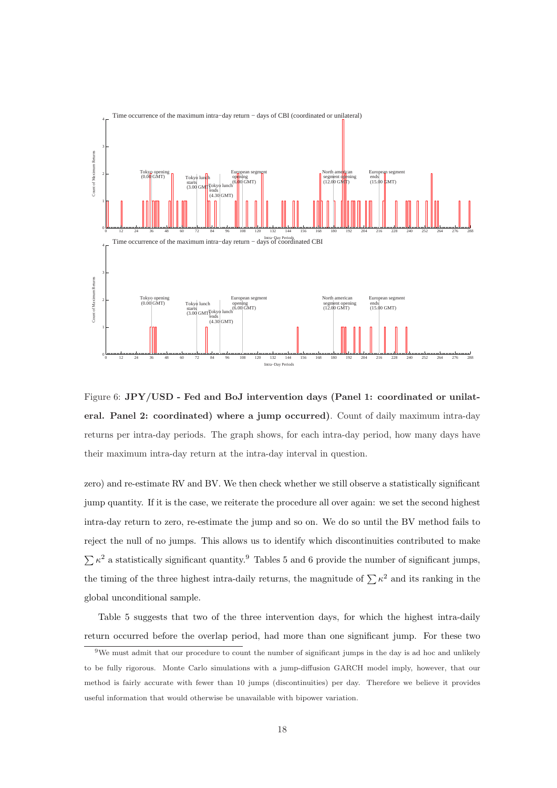

Figure 6: JPY/USD - Fed and BoJ intervention days (Panel 1: coordinated or unilateral. Panel 2: coordinated) where a jump occurred). Count of daily maximum intra-day returns per intra-day periods. The graph shows, for each intra-day period, how many days have their maximum intra-day return at the intra-day interval in question.

zero) and re-estimate RV and BV. We then check whether we still observe a statistically significant jump quantity. If it is the case, we reiterate the procedure all over again: we set the second highest intra-day return to zero, re-estimate the jump and so on. We do so until the BV method fails to reject the null of no jumps. This allows us to identify which discontinuities contributed to make  $\sum \kappa^2$  a statistically significant quantity.<sup>9</sup> Tables 5 and 6 provide the number of significant jumps, the timing of the three highest intra-daily returns, the magnitude of  $\sum \kappa^2$  and its ranking in the global unconditional sample.

Table 5 suggests that two of the three intervention days, for which the highest intra-daily return occurred before the overlap period, had more than one significant jump. For these two

<sup>9</sup>We must admit that our procedure to count the number of significant jumps in the day is ad hoc and unlikely to be fully rigorous. Monte Carlo simulations with a jump-diffusion GARCH model imply, however, that our method is fairly accurate with fewer than 10 jumps (discontinuities) per day. Therefore we believe it provides useful information that would otherwise be unavailable with bipower variation.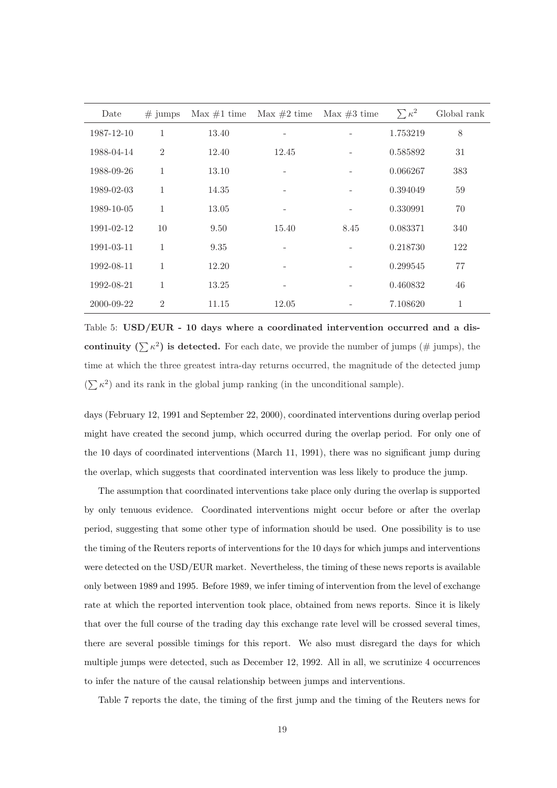| Date       | $\#$ jumps     | Max $\#1$ time | Max $#2$ time            | Max $#3$ time | $\sum_{\kappa}^2$ | Global rank  |
|------------|----------------|----------------|--------------------------|---------------|-------------------|--------------|
| 1987-12-10 | $\mathbf{1}$   | 13.40          |                          |               | 1.753219          | 8            |
| 1988-04-14 | $\overline{2}$ | 12.40          | 12.45                    |               | 0.585892          | 31           |
| 1988-09-26 | 1              | 13.10          | $\overline{\phantom{a}}$ |               | 0.066267          | 383          |
| 1989-02-03 | 1              | 14.35          |                          |               | 0.394049          | 59           |
| 1989-10-05 | 1              | 13.05          |                          |               | 0.330991          | 70           |
| 1991-02-12 | 10             | 9.50           | 15.40                    | 8.45          | 0.083371          | 340          |
| 1991-03-11 | $\mathbf{1}$   | 9.35           |                          |               | 0.218730          | 122          |
| 1992-08-11 | 1              | 12.20          |                          |               | 0.299545          | 77           |
| 1992-08-21 | 1              | 13.25          |                          |               | 0.460832          | 46           |
| 2000-09-22 | $\overline{2}$ | 11.15          | 12.05                    |               | 7.108620          | $\mathbf{1}$ |

Table 5: USD/EUR - 10 days where a coordinated intervention occurred and a discontinuity  $(\sum \kappa^2)$  is detected. For each date, we provide the number of jumps (# jumps), the time at which the three greatest intra-day returns occurred, the magnitude of the detected jump  $(\sum \kappa^2)$  and its rank in the global jump ranking (in the unconditional sample).

days (February 12, 1991 and September 22, 2000), coordinated interventions during overlap period might have created the second jump, which occurred during the overlap period. For only one of the 10 days of coordinated interventions (March 11, 1991), there was no significant jump during the overlap, which suggests that coordinated intervention was less likely to produce the jump.

The assumption that coordinated interventions take place only during the overlap is supported by only tenuous evidence. Coordinated interventions might occur before or after the overlap period, suggesting that some other type of information should be used. One possibility is to use the timing of the Reuters reports of interventions for the 10 days for which jumps and interventions were detected on the USD/EUR market. Nevertheless, the timing of these news reports is available only between 1989 and 1995. Before 1989, we infer timing of intervention from the level of exchange rate at which the reported intervention took place, obtained from news reports. Since it is likely that over the full course of the trading day this exchange rate level will be crossed several times, there are several possible timings for this report. We also must disregard the days for which multiple jumps were detected, such as December 12, 1992. All in all, we scrutinize 4 occurrences to infer the nature of the causal relationship between jumps and interventions.

Table 7 reports the date, the timing of the first jump and the timing of the Reuters news for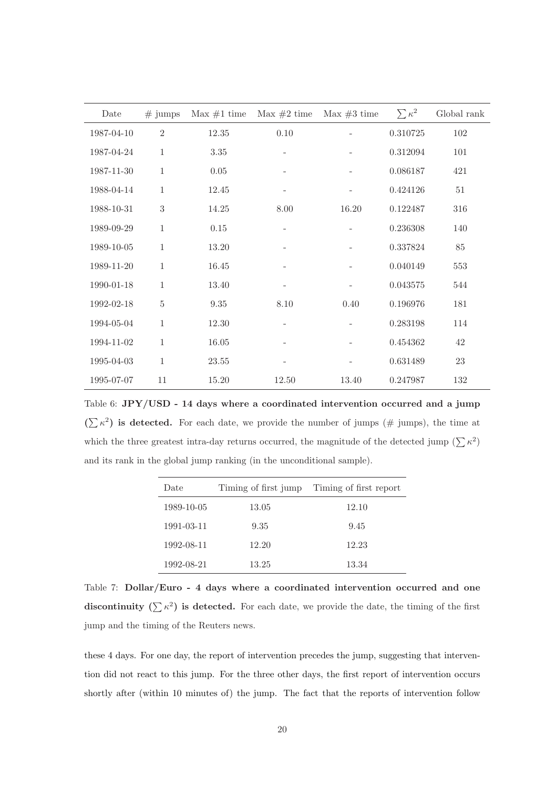| Date       | $\#$ jumps     | Max $\#1$ time | Max $#2$ time            | Max $#3$ time            | $\sum \kappa^2$ | Global rank |
|------------|----------------|----------------|--------------------------|--------------------------|-----------------|-------------|
| 1987-04-10 | $\overline{2}$ | 12.35          | 0.10                     |                          | 0.310725        | 102         |
| 1987-04-24 | $1\,$          | $3.35\,$       | $\overline{\phantom{0}}$ | $\overline{\phantom{a}}$ | 0.312094        | 101         |
| 1987-11-30 | $\mathbf{1}$   | 0.05           |                          |                          | 0.086187        | 421         |
| 1988-04-14 | $\mathbf{1}$   | 12.45          |                          |                          | 0.424126        | 51          |
| 1988-10-31 | 3              | 14.25          | 8.00                     | 16.20                    | 0.122487        | 316         |
| 1989-09-29 | $\mathbf{1}$   | 0.15           |                          | $\overline{\phantom{0}}$ | 0.236308        | 140         |
| 1989-10-05 | $1\,$          | 13.20          |                          |                          | 0.337824        | 85          |
| 1989-11-20 | $\mathbf{1}$   | 16.45          |                          |                          | 0.040149        | 553         |
| 1990-01-18 | $1\,$          | 13.40          |                          |                          | 0.043575        | 544         |
| 1992-02-18 | $\bf 5$        | 9.35           | 8.10                     | 0.40                     | 0.196976        | 181         |
| 1994-05-04 | $\mathbf{1}$   | 12.30          |                          |                          | 0.283198        | 114         |
| 1994-11-02 | $\mathbf{1}$   | 16.05          |                          | $\qquad \qquad -$        | 0.454362        | 42          |
| 1995-04-03 | $\mathbf{1}$   | 23.55          |                          |                          | 0.631489        | 23          |
| 1995-07-07 | 11             | 15.20          | 12.50                    | 13.40                    | 0.247987        | 132         |

Table 6: JPY/USD - 14 days where a coordinated intervention occurred and a jump  $(\sum \kappa^2)$  is detected. For each date, we provide the number of jumps (# jumps), the time at which the three greatest intra-day returns occurred, the magnitude of the detected jump  $(\sum \kappa^2)$ and its rank in the global jump ranking (in the unconditional sample).

| Date       |       | Timing of first jump Timing of first report |
|------------|-------|---------------------------------------------|
| 1989-10-05 | 13.05 | 12.10                                       |
| 1991-03-11 | 9.35  | 9.45                                        |
| 1992-08-11 | 12.20 | 12.23                                       |
| 1992-08-21 | 13.25 | 13.34                                       |

Table 7: Dollar/Euro - 4 days where a coordinated intervention occurred and one discontinuity  $(\sum \kappa^2)$  is detected. For each date, we provide the date, the timing of the first jump and the timing of the Reuters news.

these 4 days. For one day, the report of intervention precedes the jump, suggesting that intervention did not react to this jump. For the three other days, the first report of intervention occurs shortly after (within 10 minutes of) the jump. The fact that the reports of intervention follow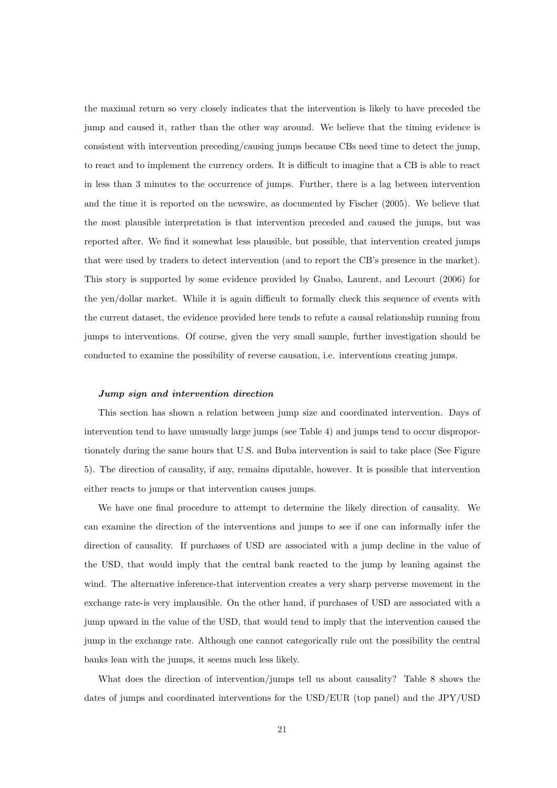the maximal return so very closely indicates that the intervention is likely to have preceded the jump and caused it, rather than the other way around. We believe that the timing evidence is consistent with intervention preceding/causing jumps because CBs need time to detect the jump, to react and to implement the currency orders. It is difficult to imagine that a CB is able to react in less than 3 minutes to the occurrence of jumps. Further, there is a lag between intervention and the time it is reported on the newswire, as documented by Fischer (2005). We believe that the most plausible interpretation is that intervention preceded and caused the jumps, but was reported after. We find it somewhat less plausible, but possible, that intervention created jumps that were used by traders to detect intervention (and to report the CB's presence in the market). This story is supported by some evidence provided by Gnabo, Laurent, and Lecourt (2006) for the yen/dollar market. While it is again difficult to formally check this sequence of events with the current dataset, the evidence provided here tends to refute a causal relationship running from jumps to interventions. Of course, given the very small sample, further investigation should be conducted to examine the possibility of reverse causation, i.e. interventions creating jumps.

#### Jump sign and intervention direction

This section has shown a relation between jump size and coordinated intervention. Days of intervention tend to have unusually large jumps (see Table 4) and jumps tend to occur disproportionately during the same hours that U.S. and Buba intervention is said to take place (See Figure 5). The direction of causality, if any, remains diputable, however. It is possible that intervention either reacts to jumps or that intervention causes jumps.

We have one final procedure to attempt to determine the likely direction of causality. We can examine the direction of the interventions and jumps to see if one can informally infer the direction of causality. If purchases of USD are associated with a jump decline in the value of the USD, that would imply that the central bank reacted to the jump by leaning against the wind. The alternative inference-that intervention creates a very sharp perverse movement in the exchange rate-is very implausible. On the other hand, if purchases of USD are associated with a jump upward in the value of the USD, that would tend to imply that the intervention caused the jump in the exchange rate. Although one cannot categorically rule out the possibility the central banks lean with the jumps, it seems much less likely.

What does the direction of intervention/jumps tell us about causality? Table 8 shows the dates of jumps and coordinated interventions for the USD/EUR (top panel) and the JPY/USD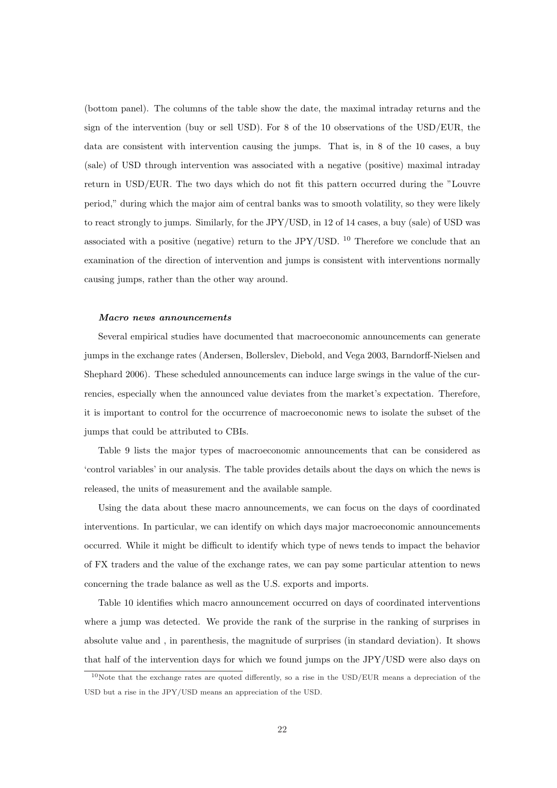(bottom panel). The columns of the table show the date, the maximal intraday returns and the sign of the intervention (buy or sell USD). For 8 of the 10 observations of the USD/EUR, the data are consistent with intervention causing the jumps. That is, in 8 of the 10 cases, a buy (sale) of USD through intervention was associated with a negative (positive) maximal intraday return in USD/EUR. The two days which do not fit this pattern occurred during the "Louvre period," during which the major aim of central banks was to smooth volatility, so they were likely to react strongly to jumps. Similarly, for the JPY/USD, in 12 of 14 cases, a buy (sale) of USD was associated with a positive (negative) return to the JPY/USD.  $^{10}$  Therefore we conclude that an examination of the direction of intervention and jumps is consistent with interventions normally causing jumps, rather than the other way around.

#### Macro news announcements

Several empirical studies have documented that macroeconomic announcements can generate jumps in the exchange rates (Andersen, Bollerslev, Diebold, and Vega 2003, Barndorff-Nielsen and Shephard 2006). These scheduled announcements can induce large swings in the value of the currencies, especially when the announced value deviates from the market's expectation. Therefore, it is important to control for the occurrence of macroeconomic news to isolate the subset of the jumps that could be attributed to CBIs.

Table 9 lists the major types of macroeconomic announcements that can be considered as 'control variables' in our analysis. The table provides details about the days on which the news is released, the units of measurement and the available sample.

Using the data about these macro announcements, we can focus on the days of coordinated interventions. In particular, we can identify on which days major macroeconomic announcements occurred. While it might be difficult to identify which type of news tends to impact the behavior of FX traders and the value of the exchange rates, we can pay some particular attention to news concerning the trade balance as well as the U.S. exports and imports.

Table 10 identifies which macro announcement occurred on days of coordinated interventions where a jump was detected. We provide the rank of the surprise in the ranking of surprises in absolute value and , in parenthesis, the magnitude of surprises (in standard deviation). It shows that half of the intervention days for which we found jumps on the JPY/USD were also days on

 $10$ Note that the exchange rates are quoted differently, so a rise in the USD/EUR means a depreciation of the USD but a rise in the JPY/USD means an appreciation of the USD.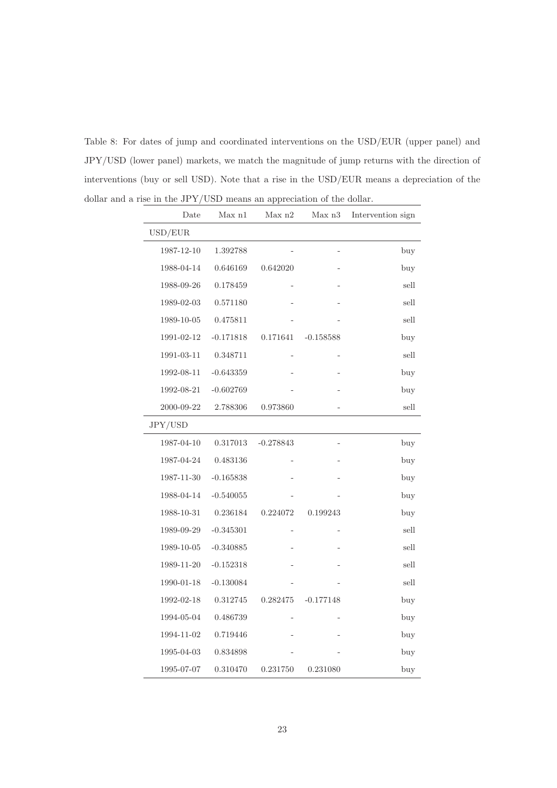Table 8: For dates of jump and coordinated interventions on the USD/EUR (upper panel) and JPY/USD (lower panel) markets, we match the magnitude of jump returns with the direction of interventions (buy or sell USD). Note that a rise in the USD/EUR means a depreciation of the dollar and a rise in the JPY/USD means an appreciation of the dollar.

| Date       | $Max_11$    | Max n2      | Max n <sub>3</sub> | Intervention sign |
|------------|-------------|-------------|--------------------|-------------------|
| USD/EUR    |             |             |                    |                   |
| 1987-12-10 | 1.392788    |             |                    | buy               |
| 1988-04-14 | 0.646169    | 0.642020    |                    | buy               |
| 1988-09-26 | 0.178459    |             |                    | sell              |
| 1989-02-03 | 0.571180    |             |                    | sell              |
| 1989-10-05 | 0.475811    |             |                    | sell              |
| 1991-02-12 | $-0.171818$ | 0.171641    | $-0.158588$        | buy               |
| 1991-03-11 | 0.348711    |             |                    | sell              |
| 1992-08-11 | $-0.643359$ |             |                    | buy               |
| 1992-08-21 | $-0.602769$ |             |                    | buy               |
| 2000-09-22 | 2.788306    | 0.973860    |                    | sell              |
| JPY/USD    |             |             |                    |                   |
| 1987-04-10 | 0.317013    | $-0.278843$ | L,                 | buy               |
| 1987-04-24 | 0.483136    |             |                    | buy               |
| 1987-11-30 | $-0.165838$ |             |                    | buy               |
| 1988-04-14 | $-0.540055$ |             |                    | buy               |
| 1988-10-31 | 0.236184    | 0.224072    | 0.199243           | buy               |
| 1989-09-29 | $-0.345301$ |             |                    | sell              |
| 1989-10-05 | $-0.340885$ |             |                    | sell              |
| 1989-11-20 | $-0.152318$ |             |                    | sell              |
| 1990-01-18 | $-0.130084$ |             |                    | sell              |
| 1992-02-18 | 0.312745    | 0.282475    | $-0.177148$        | buy               |
| 1994-05-04 | 0.486739    |             |                    | buy               |
| 1994-11-02 | 0.719446    |             |                    | buy               |
| 1995-04-03 | 0.834898    |             |                    | buy               |
| 1995-07-07 | 0.310470    | 0.231750    | 0.231080           | buy               |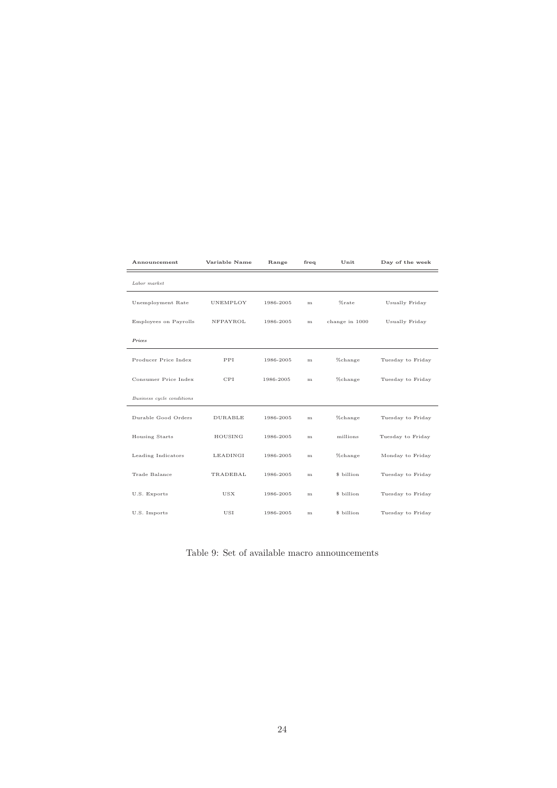| Announcement              | Variable Name | Range     | freq       | Unit           | Day of the week   |
|---------------------------|---------------|-----------|------------|----------------|-------------------|
| Labor market              |               |           |            |                |                   |
| Unemployment Rate         | UNEMPLOY      | 1986-2005 | $_{\rm m}$ | %rate          | Usually Friday    |
| Employees on Payrolls     | NFPAYROL      | 1986-2005 | m          | change in 1000 | Usually Friday    |
| Prices                    |               |           |            |                |                   |
| Producer Price Index      | PPI           | 1986-2005 | m          | %change        | Tuesday to Friday |
| Consumer Price Index      | CPI           | 1986-2005 | m          | %change        | Tuesday to Friday |
| Business cycle conditions |               |           |            |                |                   |
| Durable Good Orders       | DURABLE       | 1986-2005 | m          | %change        | Tuesday to Friday |
| <b>Housing Starts</b>     | HOUSING       | 1986-2005 | $_{\rm m}$ | millions       | Tuesday to Friday |
| Leading Indicators        | LEADINGI      | 1986-2005 | $_{\rm m}$ | %change        | Monday to Friday  |
| Trade Balance             | TRADEBAL      | 1986-2005 | $_{\rm m}$ | \$ billion     | Tuesday to Friday |
| U.S. Exports              | USX           | 1986-2005 | m          | \$ billion     | Tuesday to Friday |
| U.S. Imports              | USI           | 1986-2005 | m          | \$ billion     | Tuesday to Friday |

Table 9: Set of available macro announcements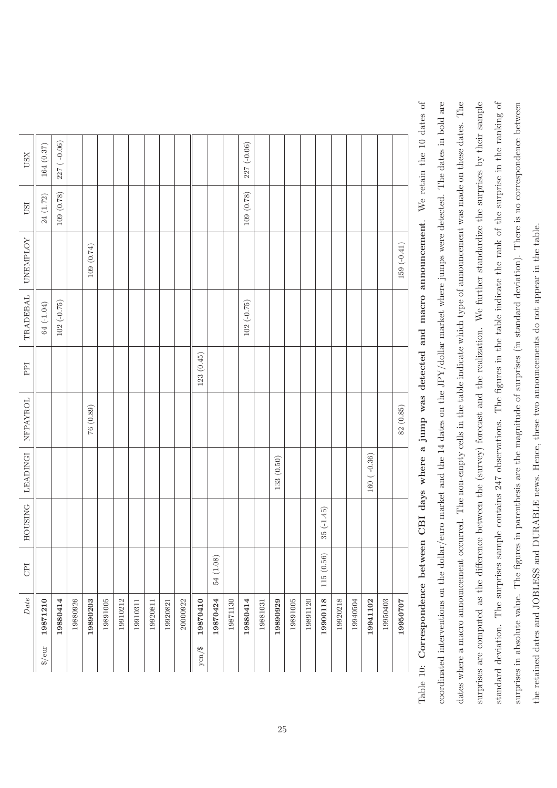|                          | $Date$   | <b>CPI</b> | <b>HOUSING</b> | LEADINGI      | NFPAYROL | PPI       | <b>TRADEBAL</b> | <b>UNEMPLOY</b> | USI        | USX           |
|--------------------------|----------|------------|----------------|---------------|----------|-----------|-----------------|-----------------|------------|---------------|
| $\sqrt[6]{\mathrm{eur}}$ | 19871210 |            |                |               |          |           | 64 $(-1.04)$    |                 | 24(1.72)   | 164 (0.37)    |
|                          | 19880414 |            |                |               |          |           | $102(-0.75)$    |                 | 109 (0.78) | $227 (-0.06)$ |
|                          | 19880926 |            |                |               |          |           |                 |                 |            |               |
|                          | 19890203 |            |                |               | 76(0.89) |           |                 | 109 (0.74)      |            |               |
|                          | 19891005 |            |                |               |          |           |                 |                 |            |               |
|                          | 19910212 |            |                |               |          |           |                 |                 |            |               |
|                          | 19910311 |            |                |               |          |           |                 |                 |            |               |
|                          | 19920811 |            |                |               |          |           |                 |                 |            |               |
|                          | 19920821 |            |                |               |          |           |                 |                 |            |               |
|                          | 20000922 |            |                |               |          |           |                 |                 |            |               |
| yen/\$                   | 19870410 |            |                |               |          | 123(0.45) |                 |                 |            |               |
|                          | 19870424 | 54 (1.08)  |                |               |          |           |                 |                 |            |               |
|                          | 19871130 |            |                |               |          |           |                 |                 |            |               |
|                          | 19880414 |            |                |               |          |           | $102(-0.75)$    |                 | 109 (0.78) | 227 (-0.06)   |
|                          | 19881031 |            |                |               |          |           |                 |                 |            |               |
|                          | 19890929 |            |                | 133 (0.50)    |          |           |                 |                 |            |               |
|                          | 19891005 |            |                |               |          |           |                 |                 |            |               |
|                          | 19891120 |            |                |               |          |           |                 |                 |            |               |
|                          | 19900118 | 115 (0.56) | $35(-1.45)$    |               |          |           |                 |                 |            |               |
|                          | 19920218 |            |                |               |          |           |                 |                 |            |               |
|                          | 19940504 |            |                |               |          |           |                 |                 |            |               |
|                          | 19941102 |            |                | $160 (-0.36)$ |          |           |                 |                 |            |               |
|                          | 19950403 |            |                |               |          |           |                 |                 |            |               |
|                          | 19950707 |            |                |               | 82(0.85) |           |                 | 159 (-0.41)     |            |               |

Table 10: Correspondence between CBI days where a jump was detected and macro announcement. We retain the 10 dates of coordinated interventions on the dollar/euro market and the 14 dates on the JPY/dollar market where jumps were detected. The dates in bold are dates where a macro announcement occurred. The non-empty cells in the table indicate which type of announcement was made on these dates. The surprises are computed as the difference between the (survey) forecast and the realization. We further standardize the surprises by their sample standard deviation. The surprises sample contains 247 observations. The figures in the table indicate the rank of the surprise in the ranking of Table 10: Correspondence between CBI days where a jump was detected and macro announcement. We retain the 10 dates of standard deviation. The surprises sample contains 247 observations. The figures in the table indicate the rank of the surprise in the ranking of surprises in absolute value. The figures in parenthesis are the magnitude of surprises (in standard deviation). There is no correspondence between coordinated interventions on the dollar/euro market and the 14 dates on the JPY/dollar market where jumps were detected. The dates in bold are dates where a macro announcement occurred. The non-empty cells in the table indicate which type of announcement was made on these dates. The surprises are computed as the difference between the (survey) forecast and the realization. We further standardize the surprises by their sample surprises in absolute value. The figures in parenthesis are the magnitude of surprises (in standard deviation). There is no correspondence between the retained dates and JOBLESS and DURABLE news. Hence, these two announcements do not appear in the table. the retained dates and JOBLESS and DURABLE news. Hence, these two announcements do not appear in the table.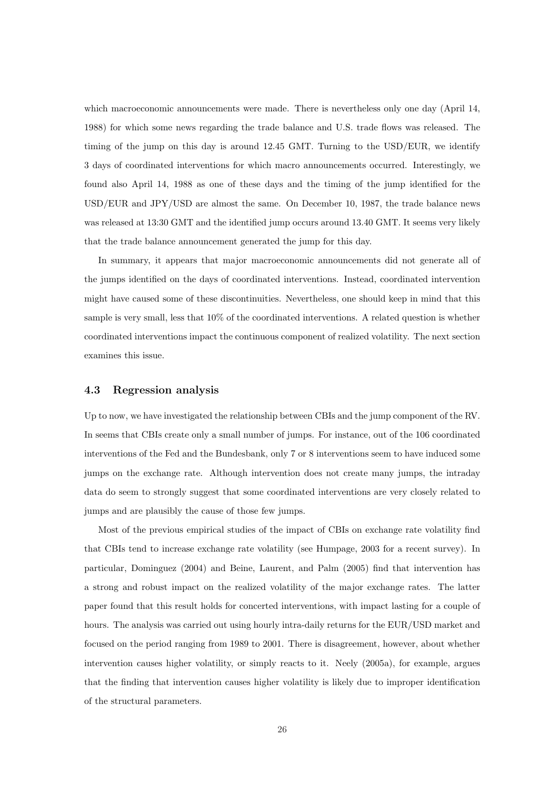which macroeconomic announcements were made. There is nevertheless only one day (April 14, 1988) for which some news regarding the trade balance and U.S. trade flows was released. The timing of the jump on this day is around 12.45 GMT. Turning to the USD/EUR, we identify 3 days of coordinated interventions for which macro announcements occurred. Interestingly, we found also April 14, 1988 as one of these days and the timing of the jump identified for the USD/EUR and JPY/USD are almost the same. On December 10, 1987, the trade balance news was released at 13:30 GMT and the identified jump occurs around 13.40 GMT. It seems very likely that the trade balance announcement generated the jump for this day.

In summary, it appears that major macroeconomic announcements did not generate all of the jumps identified on the days of coordinated interventions. Instead, coordinated intervention might have caused some of these discontinuities. Nevertheless, one should keep in mind that this sample is very small, less that 10% of the coordinated interventions. A related question is whether coordinated interventions impact the continuous component of realized volatility. The next section examines this issue.

#### 4.3 Regression analysis

Up to now, we have investigated the relationship between CBIs and the jump component of the RV. In seems that CBIs create only a small number of jumps. For instance, out of the 106 coordinated interventions of the Fed and the Bundesbank, only 7 or 8 interventions seem to have induced some jumps on the exchange rate. Although intervention does not create many jumps, the intraday data do seem to strongly suggest that some coordinated interventions are very closely related to jumps and are plausibly the cause of those few jumps.

Most of the previous empirical studies of the impact of CBIs on exchange rate volatility find that CBIs tend to increase exchange rate volatility (see Humpage, 2003 for a recent survey). In particular, Dominguez (2004) and Beine, Laurent, and Palm (2005) find that intervention has a strong and robust impact on the realized volatility of the major exchange rates. The latter paper found that this result holds for concerted interventions, with impact lasting for a couple of hours. The analysis was carried out using hourly intra-daily returns for the EUR/USD market and focused on the period ranging from 1989 to 2001. There is disagreement, however, about whether intervention causes higher volatility, or simply reacts to it. Neely (2005a), for example, argues that the finding that intervention causes higher volatility is likely due to improper identification of the structural parameters.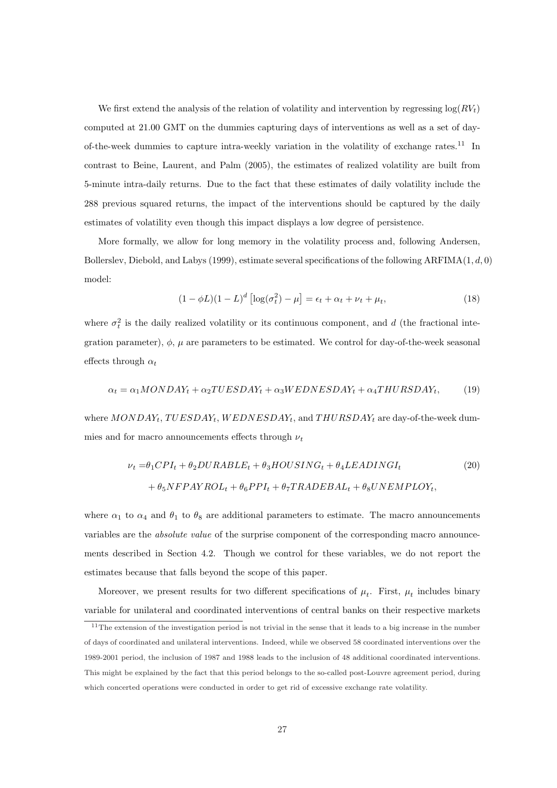We first extend the analysis of the relation of volatility and intervention by regressing  $\log(RV_t)$ computed at 21.00 GMT on the dummies capturing days of interventions as well as a set of dayof-the-week dummies to capture intra-weekly variation in the volatility of exchange rates.<sup>11</sup> In contrast to Beine, Laurent, and Palm (2005), the estimates of realized volatility are built from 5-minute intra-daily returns. Due to the fact that these estimates of daily volatility include the 288 previous squared returns, the impact of the interventions should be captured by the daily estimates of volatility even though this impact displays a low degree of persistence.

More formally, we allow for long memory in the volatility process and, following Andersen, Bollerslev, Diebold, and Labys (1999), estimate several specifications of the following  $ARFIMA(1, d, 0)$ model:

$$
(1 - \phi L)(1 - L)^d \left[ \log(\sigma_t^2) - \mu \right] = \epsilon_t + \alpha_t + \nu_t + \mu_t,\tag{18}
$$

where  $\sigma_t^2$  is the daily realized volatility or its continuous component, and d (the fractional integration parameter),  $\phi$ ,  $\mu$  are parameters to be estimated. We control for day-of-the-week seasonal effects through  $\alpha_t$ 

$$
\alpha_t = \alpha_1 MONDAY_t + \alpha_2 TUESDAY_t + \alpha_3 WEDNESDAY_t + \alpha_4 THURSDAY_t, \tag{19}
$$

where  $MONDAY_t, TUESDAY_t, WEDNESDAY_t$ , and  $THURSDAY_t$  are day-of-the-week dummies and for macro announcements effects through  $\nu_t$ 

$$
\nu_t = \theta_1 CPI_t + \theta_2 DURABLE_t + \theta_3 HOUSING_t + \theta_4 LEADING_t
$$
  
+ 
$$
\theta_5 NFPAYROL_t + \theta_6 PPI_t + \theta_7 TRADEBAL_t + \theta_8 UNEMPLOY_t,
$$
 (20)

where  $\alpha_1$  to  $\alpha_4$  and  $\theta_1$  to  $\theta_8$  are additional parameters to estimate. The macro announcements variables are the absolute value of the surprise component of the corresponding macro announcements described in Section 4.2. Though we control for these variables, we do not report the estimates because that falls beyond the scope of this paper.

Moreover, we present results for two different specifications of  $\mu_t$ . First,  $\mu_t$  includes binary variable for unilateral and coordinated interventions of central banks on their respective markets

<sup>&</sup>lt;sup>11</sup>The extension of the investigation period is not trivial in the sense that it leads to a big increase in the number of days of coordinated and unilateral interventions. Indeed, while we observed 58 coordinated interventions over the 1989-2001 period, the inclusion of 1987 and 1988 leads to the inclusion of 48 additional coordinated interventions. This might be explained by the fact that this period belongs to the so-called post-Louvre agreement period, during which concerted operations were conducted in order to get rid of excessive exchange rate volatility.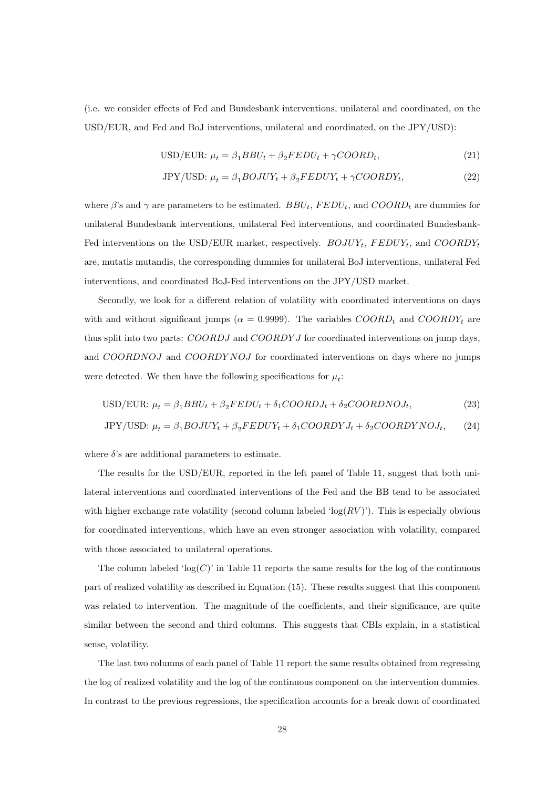(i.e. we consider effects of Fed and Bundesbank interventions, unilateral and coordinated, on the USD/EUR, and Fed and BoJ interventions, unilateral and coordinated, on the JPY/USD):

$$
USD/EUR: \mu_t = \beta_1 BBU_t + \beta_2 FEDU_t + \gamma COORD_t, \qquad (21)
$$

$$
JPY/USD: \mu_t = \beta_1 BOJUY_t + \beta_2 FEDUY_t + \gamma COORDY_t, \qquad (22)
$$

where  $\beta$ 's and  $\gamma$  are parameters to be estimated.  $BBU_t$ ,  $FEDU_t$ , and  $COORD_t$  are dummies for unilateral Bundesbank interventions, unilateral Fed interventions, and coordinated Bundesbank-Fed interventions on the USD/EUR market, respectively.  $BOJUY_t$ ,  $FEDUY_t$ , and  $COORDY_t$ are, mutatis mutandis, the corresponding dummies for unilateral BoJ interventions, unilateral Fed interventions, and coordinated BoJ-Fed interventions on the JPY/USD market.

Secondly, we look for a different relation of volatility with coordinated interventions on days with and without significant jumps ( $\alpha = 0.9999$ ). The variables  $COORD_t$  and  $COORD_t$  are thus split into two parts: COORDJ and COORDY J for coordinated interventions on jump days, and COORDNOJ and COORDYNOJ for coordinated interventions on days where no jumps were detected. We then have the following specifications for  $\mu_t$ :

$$
USD/EUR: \mu_t = \beta_1 BBU_t + \beta_2 FEDU_t + \delta_1 COORDJ_t + \delta_2 COORDNOJ_t, \tag{23}
$$

$$
JPY/USD: \mu_t = \beta_1 BOJUY_t + \beta_2 FEDUY_t + \delta_1 COORDYJ_t + \delta_2 COORDYNOJ_t, \qquad (24)
$$

where  $\delta$ 's are additional parameters to estimate.

The results for the USD/EUR, reported in the left panel of Table 11, suggest that both unilateral interventions and coordinated interventions of the Fed and the BB tend to be associated with higher exchange rate volatility (second column labeled ' $log(RV)$ '). This is especially obvious for coordinated interventions, which have an even stronger association with volatility, compared with those associated to unilateral operations.

The column labeled ' $log(C)$ ' in Table 11 reports the same results for the log of the continuous part of realized volatility as described in Equation (15). These results suggest that this component was related to intervention. The magnitude of the coefficients, and their significance, are quite similar between the second and third columns. This suggests that CBIs explain, in a statistical sense, volatility.

The last two columns of each panel of Table 11 report the same results obtained from regressing the log of realized volatility and the log of the continuous component on the intervention dummies. In contrast to the previous regressions, the specification accounts for a break down of coordinated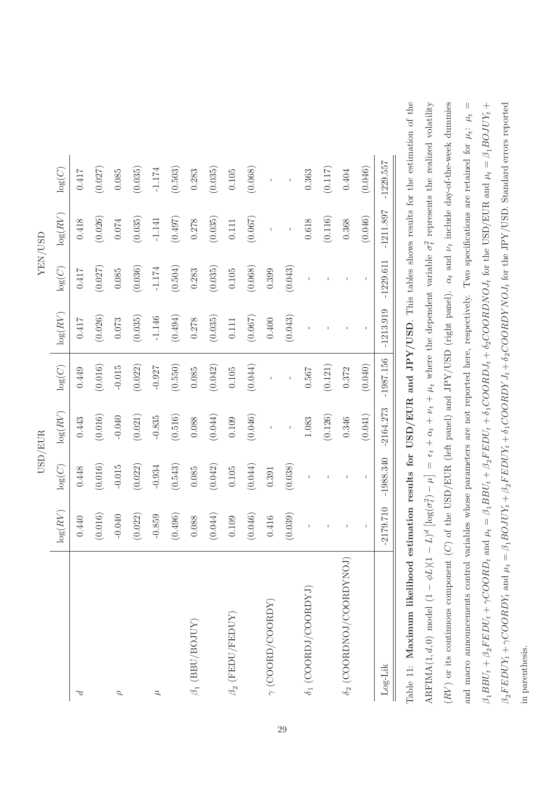in parenthesis. in parenthesis.

| Table 11: Maximum likelihood estimation results for USD/EUR and JPY/USD. This tables shows results for the estimation of the                                                                      |
|---------------------------------------------------------------------------------------------------------------------------------------------------------------------------------------------------|
| ARFIMA(1,d,0) model $(1 - \phi L)(1 - L)^d$ [log( $\sigma_t^2$ ) – $\mu$ ] = $\epsilon_t + \alpha_t + \nu_t + \mu_t$ where the dependent variable $\sigma_t^2$ represents the realized volatility |
| USD/EUR (left panel) and JPY/USD (right panel). $\alpha_t$ and $\nu_t$ include day-of-the-week dummies<br>$(RV)$ or its continuous component $(C)$ of the                                         |
| whose parameters are not reported here, respectively. Two specifications are retained for $\mu_t$ : $\mu_t =$<br>and macro announcements control variables                                        |
| $\beta_1 BBU_t+\beta_2 FEDU_t+\delta_1 COORDJ_t+\delta_2 COORDNOJ_t$ for the USD/EUR and $\mu_t=\beta_1 BOJUY_t+$<br>$\beta_1 BBU_t + \beta_2 FEDU_t + \gamma COORD_t$ and $\mu_t =$              |
| $\beta_2 FEDUY_t + \gamma COORDY_t$ and $\mu_t = \beta_1 BOJUY_t + \beta_2 FEDUY_t + \delta_1 COORDYJ_t + \delta_2 COORDYNOJ_t$ for the JPY/USD. Standard errors reported                         |
|                                                                                                                                                                                                   |

| $\log(C)$<br>0.449<br>$\log(RV)$<br>0.443<br>USD/EUR<br>$\log(C)$<br>0.448<br>$\log(RV)$<br>0.440 |
|---------------------------------------------------------------------------------------------------|
| (0.016)<br>(0.016)<br>(0.016)                                                                     |
| $-0.040$<br>$-0.015$<br>$-0.040$                                                                  |
| (0.021)<br>(0.022)<br>(0.022)                                                                     |
| $-0.835$<br>$-0.934$<br>$-0.859$                                                                  |
| (0.516)<br>(0.543)<br>(0.496)                                                                     |
| 0.088<br>0.085<br>0.088                                                                           |
| (0.044)<br>(0.042)<br>(0.044)                                                                     |
| 0.109<br>$0.105\,$<br>0.109                                                                       |
| (0.046)<br>(0.044)<br>(0.046)                                                                     |
| $\mathbf{I}$<br>0.391<br>0.416                                                                    |
| $\sf I$<br>(0.038)<br>(0.039)                                                                     |
| 1.083                                                                                             |
| (0.126)                                                                                           |
| 0.346                                                                                             |
| (0.041)                                                                                           |
| $-2164.273$<br>$-1988.340$<br>$-2179.710$                                                         |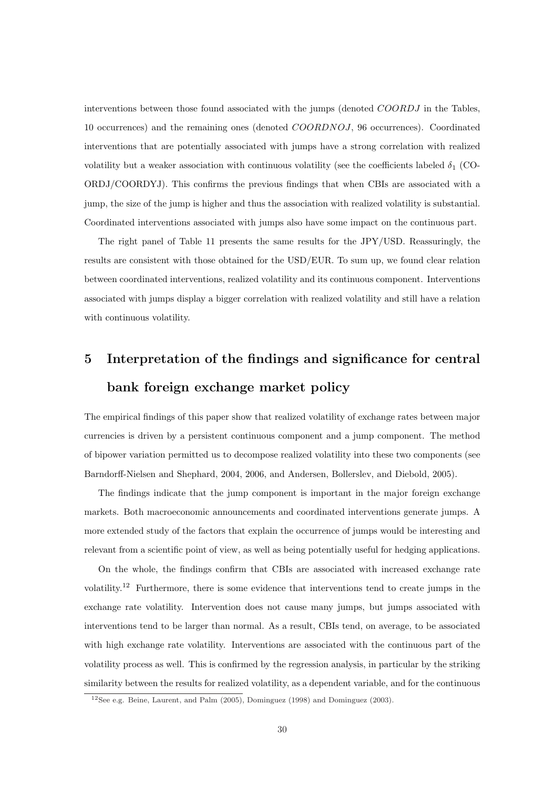interventions between those found associated with the jumps (denoted COORDJ in the Tables, 10 occurrences) and the remaining ones (denoted COORDNOJ, 96 occurrences). Coordinated interventions that are potentially associated with jumps have a strong correlation with realized volatility but a weaker association with continuous volatility (see the coefficients labeled  $\delta_1$  (CO-ORDJ/COORDYJ). This confirms the previous findings that when CBIs are associated with a jump, the size of the jump is higher and thus the association with realized volatility is substantial. Coordinated interventions associated with jumps also have some impact on the continuous part.

The right panel of Table 11 presents the same results for the JPY/USD. Reassuringly, the results are consistent with those obtained for the USD/EUR. To sum up, we found clear relation between coordinated interventions, realized volatility and its continuous component. Interventions associated with jumps display a bigger correlation with realized volatility and still have a relation with continuous volatility.

## 5 Interpretation of the findings and significance for central bank foreign exchange market policy

The empirical findings of this paper show that realized volatility of exchange rates between major currencies is driven by a persistent continuous component and a jump component. The method of bipower variation permitted us to decompose realized volatility into these two components (see Barndorff-Nielsen and Shephard, 2004, 2006, and Andersen, Bollerslev, and Diebold, 2005).

The findings indicate that the jump component is important in the major foreign exchange markets. Both macroeconomic announcements and coordinated interventions generate jumps. A more extended study of the factors that explain the occurrence of jumps would be interesting and relevant from a scientific point of view, as well as being potentially useful for hedging applications.

On the whole, the findings confirm that CBIs are associated with increased exchange rate volatility.<sup>12</sup> Furthermore, there is some evidence that interventions tend to create jumps in the exchange rate volatility. Intervention does not cause many jumps, but jumps associated with interventions tend to be larger than normal. As a result, CBIs tend, on average, to be associated with high exchange rate volatility. Interventions are associated with the continuous part of the volatility process as well. This is confirmed by the regression analysis, in particular by the striking similarity between the results for realized volatility, as a dependent variable, and for the continuous

 $12$ See e.g. Beine, Laurent, and Palm (2005), Dominguez (1998) and Dominguez (2003).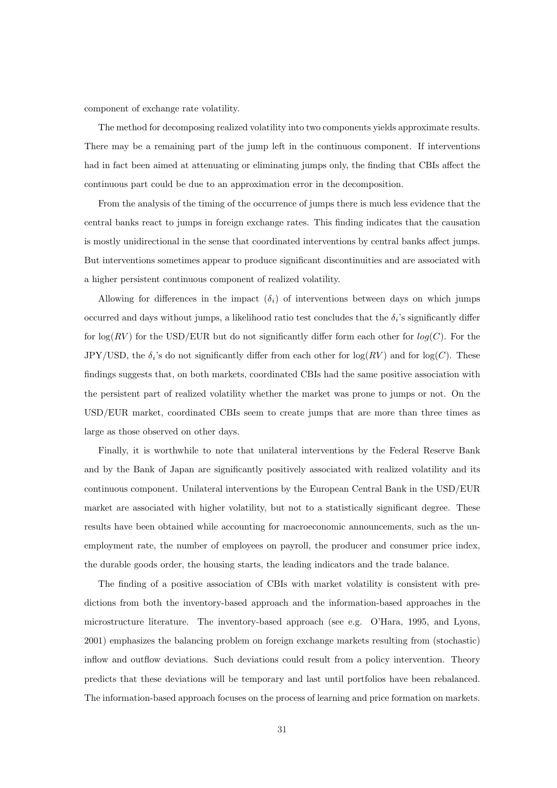component of exchange rate volatility.

The method for decomposing realized volatility into two components yields approximate results. There may be a remaining part of the jump left in the continuous component. If interventions had in fact been aimed at attenuating or eliminating jumps only, the finding that CBIs affect the continuous part could be due to an approximation error in the decomposition.

From the analysis of the timing of the occurrence of jumps there is much less evidence that the central banks react to jumps in foreign exchange rates. This finding indicates that the causation is mostly unidirectional in the sense that coordinated interventions by central banks affect jumps. But interventions sometimes appear to produce significant discontinuities and are associated with a higher persistent continuous component of realized volatility.

Allowing for differences in the impact  $(\delta_i)$  of interventions between days on which jumps occurred and days without jumps, a likelihood ratio test concludes that the  $\delta_i$ 's significantly differ for  $\log(RV)$  for the USD/EUR but do not significantly differ form each other for  $log(C)$ . For the  $JPY/USD$ , the  $\delta_i$ 's do not significantly differ from each other for  $log(RV)$  and for  $log(C)$ . These findings suggests that, on both markets, coordinated CBIs had the same positive association with the persistent part of realized volatility whether the market was prone to jumps or not. On the USD/EUR market, coordinated CBIs seem to create jumps that are more than three times as large as those observed on other days.

Finally, it is worthwhile to note that unilateral interventions by the Federal Reserve Bank and by the Bank of Japan are significantly positively associated with realized volatility and its continuous component. Unilateral interventions by the European Central Bank in the USD/EUR market are associated with higher volatility, but not to a statistically significant degree. These results have been obtained while accounting for macroeconomic announcements, such as the unemployment rate, the number of employees on payroll, the producer and consumer price index, the durable goods order, the housing starts, the leading indicators and the trade balance.

The finding of a positive association of CBIs with market volatility is consistent with predictions from both the inventory-based approach and the information-based approaches in the microstructure literature. The inventory-based approach (see e.g. O'Hara, 1995, and Lyons, 2001) emphasizes the balancing problem on foreign exchange markets resulting from (stochastic) inflow and outflow deviations. Such deviations could result from a policy intervention. Theory predicts that these deviations will be temporary and last until portfolios have been rebalanced. The information-based approach focuses on the process of learning and price formation on markets.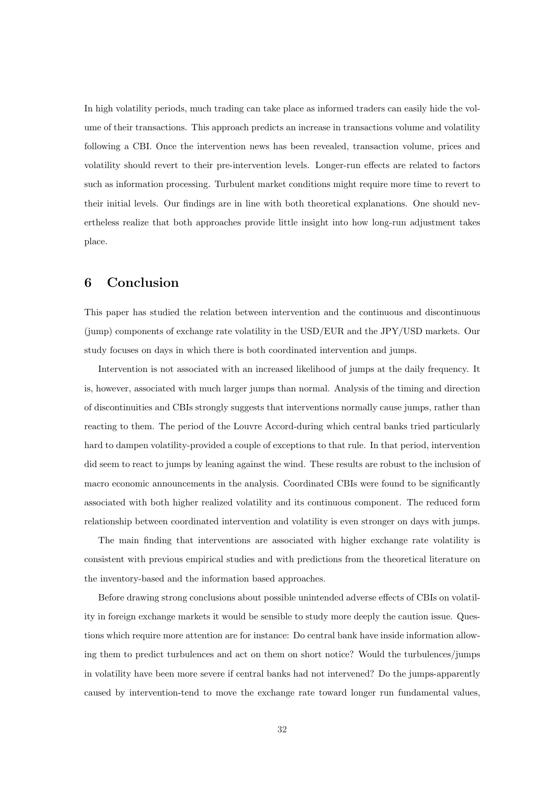In high volatility periods, much trading can take place as informed traders can easily hide the volume of their transactions. This approach predicts an increase in transactions volume and volatility following a CBI. Once the intervention news has been revealed, transaction volume, prices and volatility should revert to their pre-intervention levels. Longer-run effects are related to factors such as information processing. Turbulent market conditions might require more time to revert to their initial levels. Our findings are in line with both theoretical explanations. One should nevertheless realize that both approaches provide little insight into how long-run adjustment takes place.

## 6 Conclusion

This paper has studied the relation between intervention and the continuous and discontinuous (jump) components of exchange rate volatility in the USD/EUR and the JPY/USD markets. Our study focuses on days in which there is both coordinated intervention and jumps.

Intervention is not associated with an increased likelihood of jumps at the daily frequency. It is, however, associated with much larger jumps than normal. Analysis of the timing and direction of discontinuities and CBIs strongly suggests that interventions normally cause jumps, rather than reacting to them. The period of the Louvre Accord-during which central banks tried particularly hard to dampen volatility-provided a couple of exceptions to that rule. In that period, intervention did seem to react to jumps by leaning against the wind. These results are robust to the inclusion of macro economic announcements in the analysis. Coordinated CBIs were found to be significantly associated with both higher realized volatility and its continuous component. The reduced form relationship between coordinated intervention and volatility is even stronger on days with jumps.

The main finding that interventions are associated with higher exchange rate volatility is consistent with previous empirical studies and with predictions from the theoretical literature on the inventory-based and the information based approaches.

Before drawing strong conclusions about possible unintended adverse effects of CBIs on volatility in foreign exchange markets it would be sensible to study more deeply the caution issue. Questions which require more attention are for instance: Do central bank have inside information allowing them to predict turbulences and act on them on short notice? Would the turbulences/jumps in volatility have been more severe if central banks had not intervened? Do the jumps-apparently caused by intervention-tend to move the exchange rate toward longer run fundamental values,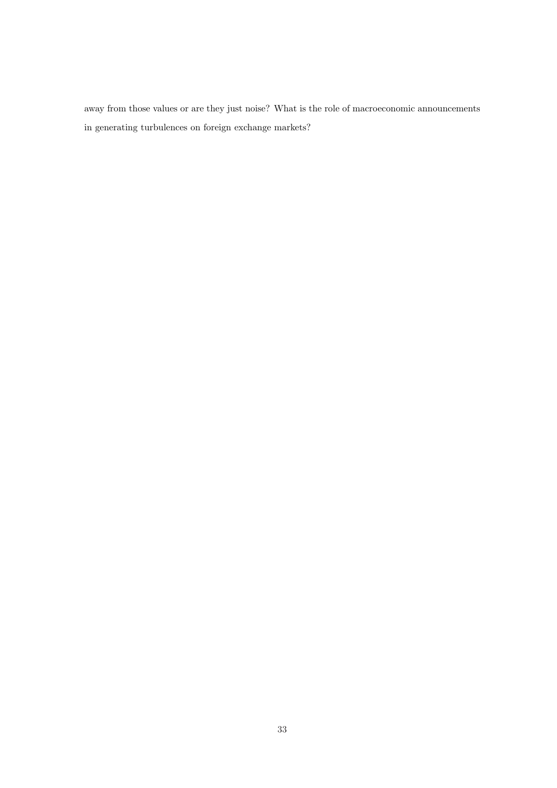away from those values or are they just noise? What is the role of macroeconomic announcements in generating turbulences on foreign exchange markets?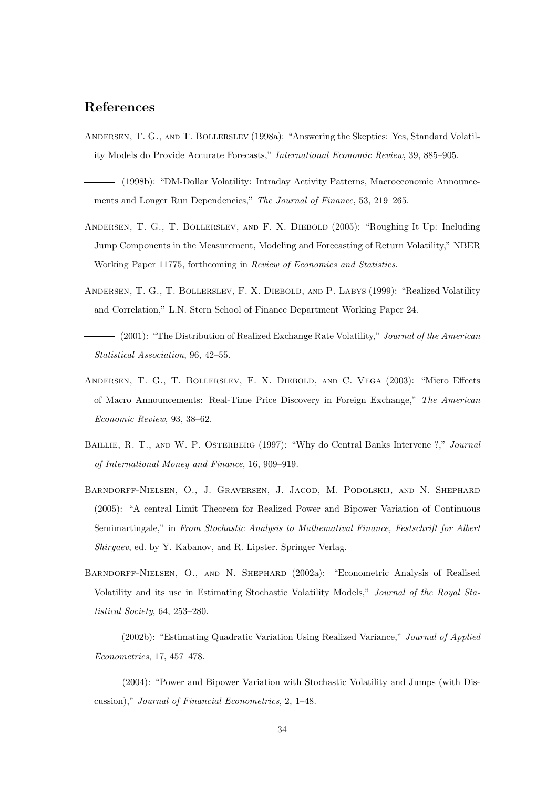## References

- Andersen, T. G., and T. Bollerslev (1998a): "Answering the Skeptics: Yes, Standard Volatility Models do Provide Accurate Forecasts," International Economic Review, 39, 885–905.
- (1998b): "DM-Dollar Volatility: Intraday Activity Patterns, Macroeconomic Announcements and Longer Run Dependencies," The Journal of Finance, 53, 219–265.
- Andersen, T. G., T. Bollerslev, and F. X. Diebold (2005): "Roughing It Up: Including Jump Components in the Measurement, Modeling and Forecasting of Return Volatility," NBER Working Paper 11775, forthcoming in Review of Economics and Statistics.
- Andersen, T. G., T. Bollerslev, F. X. Diebold, and P. Labys (1999): "Realized Volatility and Correlation," L.N. Stern School of Finance Department Working Paper 24.
- (2001): "The Distribution of Realized Exchange Rate Volatility," *Journal of the American* Statistical Association, 96, 42–55.
- Andersen, T. G., T. Bollerslev, F. X. Diebold, and C. Vega (2003): "Micro Effects of Macro Announcements: Real-Time Price Discovery in Foreign Exchange," The American Economic Review, 93, 38–62.
- BAILLIE, R. T., AND W. P. OSTERBERG (1997): "Why do Central Banks Intervene ?," Journal of International Money and Finance, 16, 909–919.
- Barndorff-Nielsen, O., J. Graversen, J. Jacod, M. Podolskij, and N. Shephard (2005): "A central Limit Theorem for Realized Power and Bipower Variation of Continuous Semimartingale," in From Stochastic Analysis to Mathematival Finance, Festschrift for Albert Shiryaev, ed. by Y. Kabanov, and R. Lipster. Springer Verlag.
- Barndorff-Nielsen, O., and N. Shephard (2002a): "Econometric Analysis of Realised Volatility and its use in Estimating Stochastic Volatility Models," Journal of the Royal Statistical Society, 64, 253–280.
- (2002b): "Estimating Quadratic Variation Using Realized Variance," Journal of Applied Econometrics, 17, 457–478.

(2004): "Power and Bipower Variation with Stochastic Volatility and Jumps (with Discussion)," Journal of Financial Econometrics, 2, 1–48.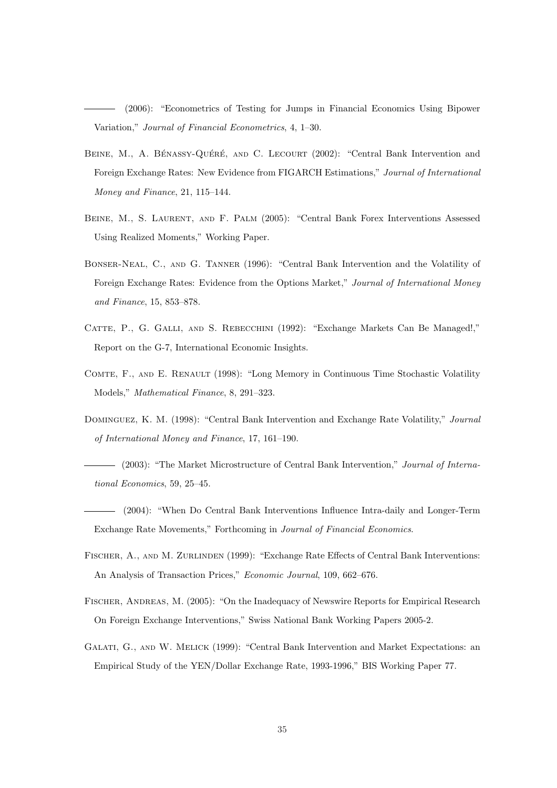(2006): "Econometrics of Testing for Jumps in Financial Economics Using Bipower Variation," Journal of Financial Econometrics, 4, 1–30.

- BEINE, M., A. BÉNASSY-QUÉRÉ, AND C. LECOURT (2002): "Central Bank Intervention and Foreign Exchange Rates: New Evidence from FIGARCH Estimations," Journal of International Money and Finance, 21, 115–144.
- Beine, M., S. Laurent, and F. Palm (2005): "Central Bank Forex Interventions Assessed Using Realized Moments," Working Paper.
- Bonser-Neal, C., and G. Tanner (1996): "Central Bank Intervention and the Volatility of Foreign Exchange Rates: Evidence from the Options Market," Journal of International Money and Finance, 15, 853–878.
- Catte, P., G. Galli, and S. Rebecchini (1992): "Exchange Markets Can Be Managed!," Report on the G-7, International Economic Insights.
- Comte, F., and E. Renault (1998): "Long Memory in Continuous Time Stochastic Volatility Models," Mathematical Finance, 8, 291–323.
- Dominguez, K. M. (1998): "Central Bank Intervention and Exchange Rate Volatility," Journal of International Money and Finance, 17, 161–190.
- (2003): "The Market Microstructure of Central Bank Intervention," Journal of International Economics, 59, 25–45.
- (2004): "When Do Central Bank Interventions Influence Intra-daily and Longer-Term Exchange Rate Movements," Forthcoming in Journal of Financial Economics.
- FISCHER, A., AND M. ZURLINDEN (1999): "Exchange Rate Effects of Central Bank Interventions: An Analysis of Transaction Prices," Economic Journal, 109, 662–676.
- Fischer, Andreas, M. (2005): "On the Inadequacy of Newswire Reports for Empirical Research On Foreign Exchange Interventions," Swiss National Bank Working Papers 2005-2.
- Galati, G., and W. Melick (1999): "Central Bank Intervention and Market Expectations: an Empirical Study of the YEN/Dollar Exchange Rate, 1993-1996," BIS Working Paper 77.